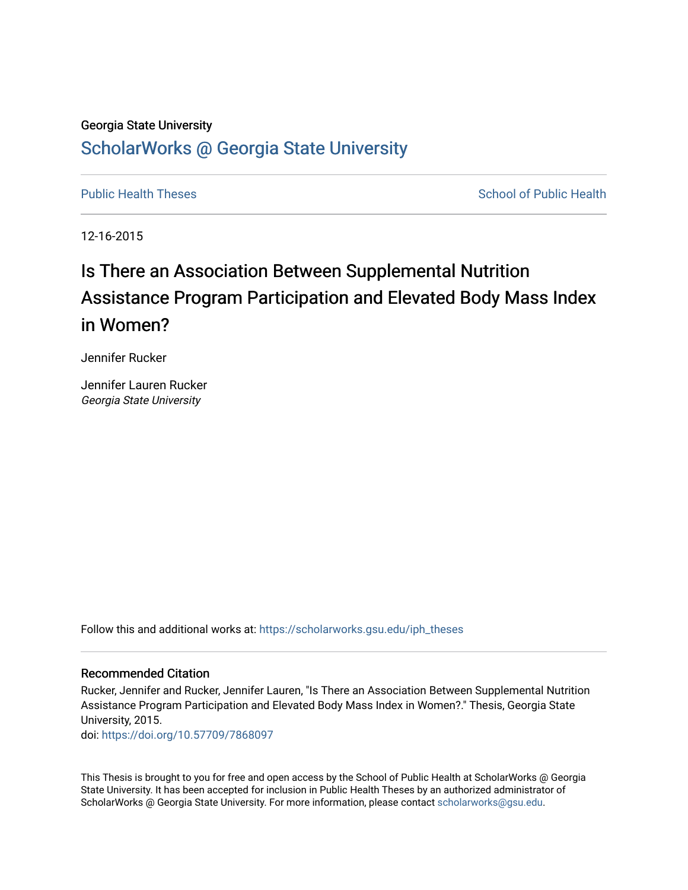#### Georgia State University

# [ScholarWorks @ Georgia State University](https://scholarworks.gsu.edu/)

[Public Health Theses](https://scholarworks.gsu.edu/iph_theses) School of Public Health

12-16-2015

# Is There an Association Between Supplemental Nutrition Assistance Program Participation and Elevated Body Mass Index in Women?

Jennifer Rucker

Jennifer Lauren Rucker Georgia State University

Follow this and additional works at: [https://scholarworks.gsu.edu/iph\\_theses](https://scholarworks.gsu.edu/iph_theses?utm_source=scholarworks.gsu.edu%2Fiph_theses%2F435&utm_medium=PDF&utm_campaign=PDFCoverPages) 

#### Recommended Citation

Rucker, Jennifer and Rucker, Jennifer Lauren, "Is There an Association Between Supplemental Nutrition Assistance Program Participation and Elevated Body Mass Index in Women?." Thesis, Georgia State University, 2015.

doi: <https://doi.org/10.57709/7868097>

This Thesis is brought to you for free and open access by the School of Public Health at ScholarWorks @ Georgia State University. It has been accepted for inclusion in Public Health Theses by an authorized administrator of ScholarWorks @ Georgia State University. For more information, please contact [scholarworks@gsu.edu](mailto:scholarworks@gsu.edu).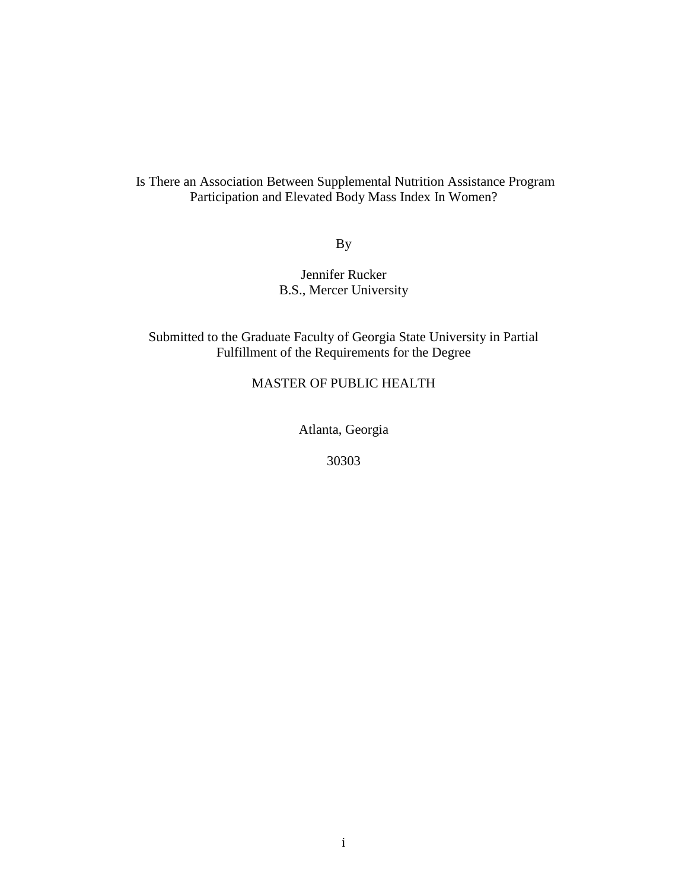## Is There an Association Between Supplemental Nutrition Assistance Program Participation and Elevated Body Mass Index In Women?

By

## Jennifer Rucker B.S., Mercer University

## Submitted to the Graduate Faculty of Georgia State University in Partial Fulfillment of the Requirements for the Degree

## MASTER OF PUBLIC HEALTH

Atlanta, Georgia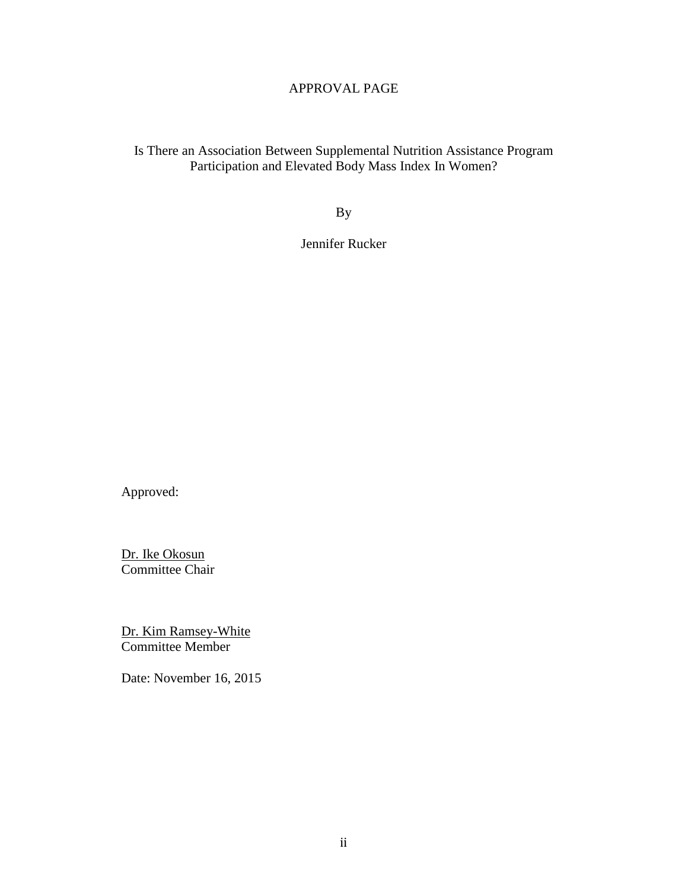## APPROVAL PAGE

Is There an Association Between Supplemental Nutrition Assistance Program Participation and Elevated Body Mass Index In Women?

By

Jennifer Rucker

Approved:

Dr. Ike Okosun Committee Chair

Dr. Kim Ramsey-White Committee Member

Date: November 16, 2015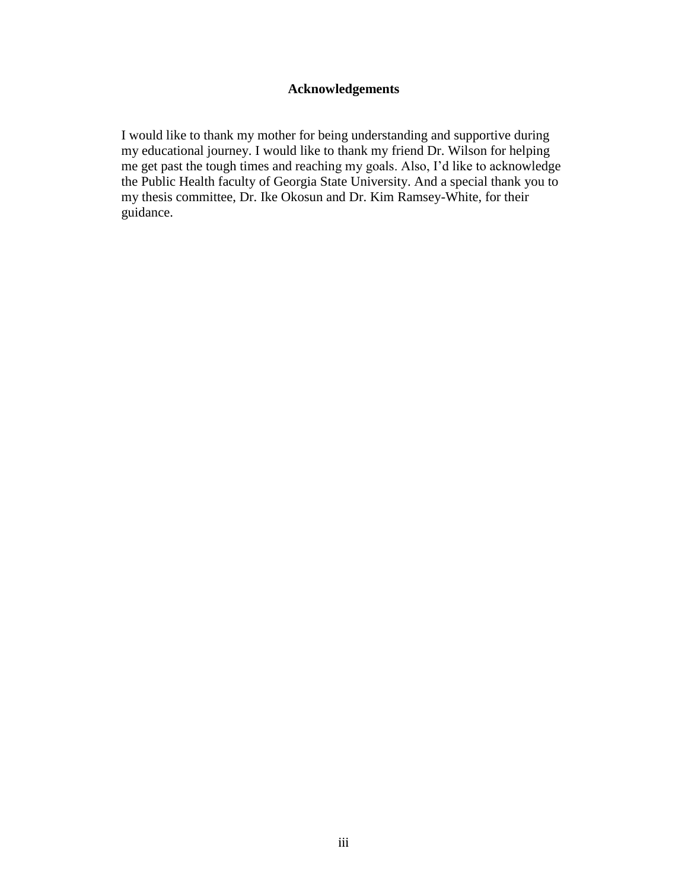## **Acknowledgements**

I would like to thank my mother for being understanding and supportive during my educational journey. I would like to thank my friend Dr. Wilson for helping me get past the tough times and reaching my goals. Also, I'd like to acknowledge the Public Health faculty of Georgia State University. And a special thank you to my thesis committee, Dr. Ike Okosun and Dr. Kim Ramsey-White, for their guidance.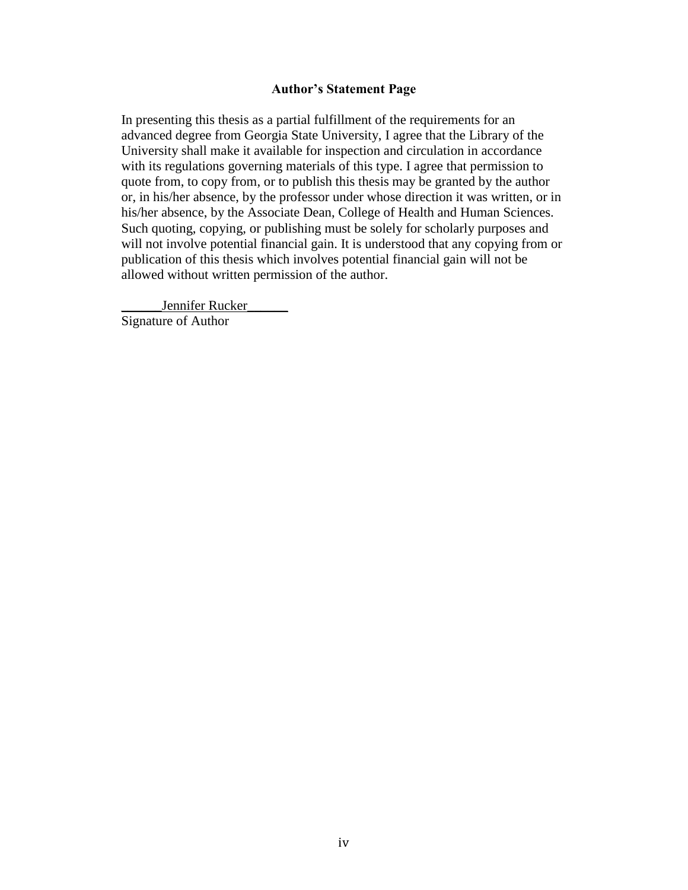#### **Author's Statement Page**

In presenting this thesis as a partial fulfillment of the requirements for an advanced degree from Georgia State University, I agree that the Library of the University shall make it available for inspection and circulation in accordance with its regulations governing materials of this type. I agree that permission to quote from, to copy from, or to publish this thesis may be granted by the author or, in his/her absence, by the professor under whose direction it was written, or in his/her absence, by the Associate Dean, College of Health and Human Sciences. Such quoting, copying, or publishing must be solely for scholarly purposes and will not involve potential financial gain. It is understood that any copying from or publication of this thesis which involves potential financial gain will not be allowed without written permission of the author.

Jennifer Rucker Signature of Author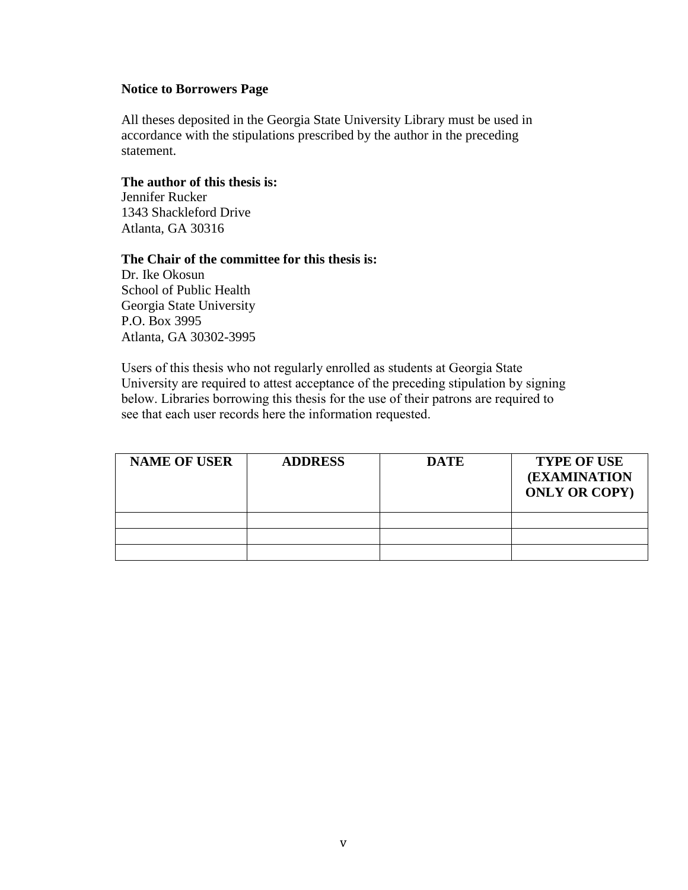#### **Notice to Borrowers Page**

All theses deposited in the Georgia State University Library must be used in accordance with the stipulations prescribed by the author in the preceding statement.

### **The author of this thesis is:**

Jennifer Rucker 1343 Shackleford Drive Atlanta, GA 30316

#### **The Chair of the committee for this thesis is:**

Dr. Ike Okosun School of Public Health Georgia State University P.O. Box 3995 Atlanta, GA 30302-3995

Users of this thesis who not regularly enrolled as students at Georgia State University are required to attest acceptance of the preceding stipulation by signing below. Libraries borrowing this thesis for the use of their patrons are required to see that each user records here the information requested.

| <b>NAME OF USER</b> | <b>ADDRESS</b> | <b>DATE</b> | <b>TYPE OF USE</b><br><b>(EXAMINATION</b><br><b>ONLY OR COPY)</b> |
|---------------------|----------------|-------------|-------------------------------------------------------------------|
|                     |                |             |                                                                   |
|                     |                |             |                                                                   |
|                     |                |             |                                                                   |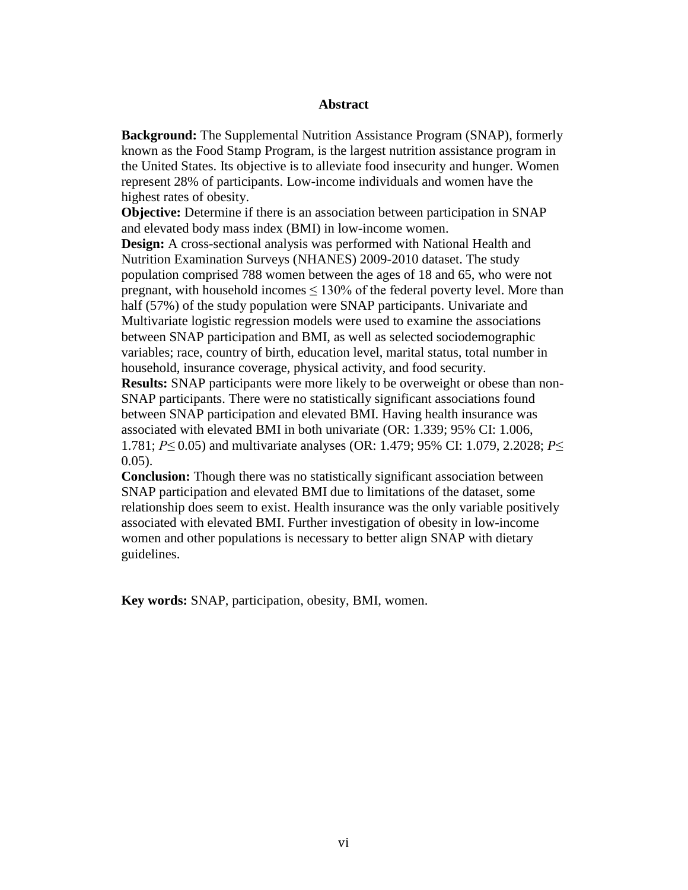#### **Abstract**

**Background:** The Supplemental Nutrition Assistance Program (SNAP), formerly known as the Food Stamp Program, is the largest nutrition assistance program in the United States. Its objective is to alleviate food insecurity and hunger. Women represent 28% of participants. Low-income individuals and women have the highest rates of obesity.

**Objective:** Determine if there is an association between participation in SNAP and elevated body mass index (BMI) in low-income women.

**Design:** A cross-sectional analysis was performed with National Health and Nutrition Examination Surveys (NHANES) 2009-2010 dataset. The study population comprised 788 women between the ages of 18 and 65, who were not pregnant, with household incomes  $\leq 130\%$  of the federal poverty level. More than half (57%) of the study population were SNAP participants. Univariate and Multivariate logistic regression models were used to examine the associations between SNAP participation and BMI, as well as selected sociodemographic variables; race, country of birth, education level, marital status, total number in household, insurance coverage, physical activity, and food security. **Results:** SNAP participants were more likely to be overweight or obese than non-SNAP participants. There were no statistically significant associations found between SNAP participation and elevated BMI. Having health insurance was associated with elevated BMI in both univariate (OR: 1.339; 95% CI: 1.006, 1.781; *P≤* 0.05) and multivariate analyses (OR: 1.479; 95% CI: 1.079, 2.2028; *P*≤  $0.05$ ).

**Conclusion:** Though there was no statistically significant association between SNAP participation and elevated BMI due to limitations of the dataset, some relationship does seem to exist. Health insurance was the only variable positively associated with elevated BMI. Further investigation of obesity in low-income women and other populations is necessary to better align SNAP with dietary guidelines.

**Key words:** SNAP, participation, obesity, BMI, women.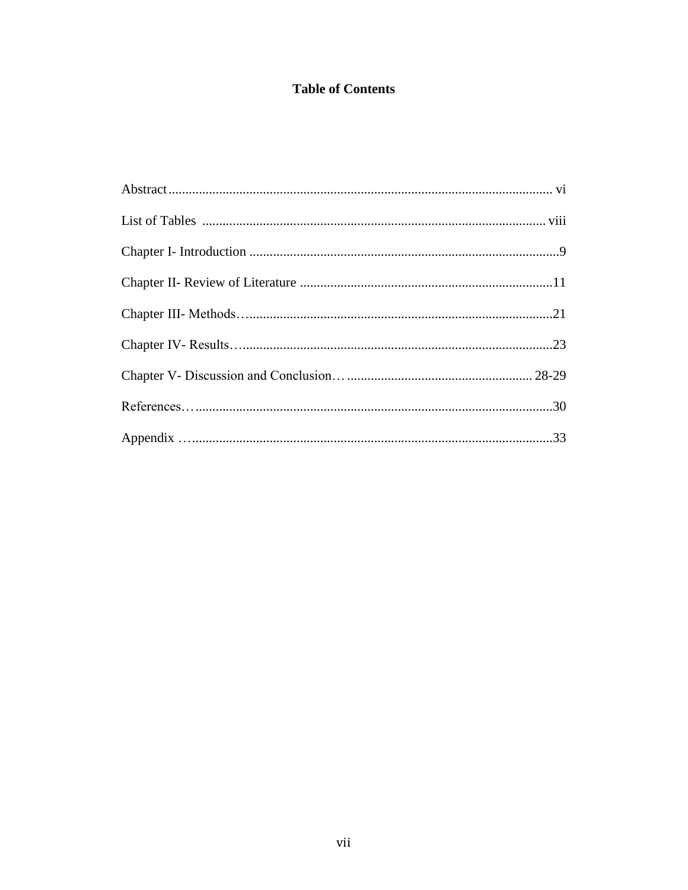## **Table of Contents**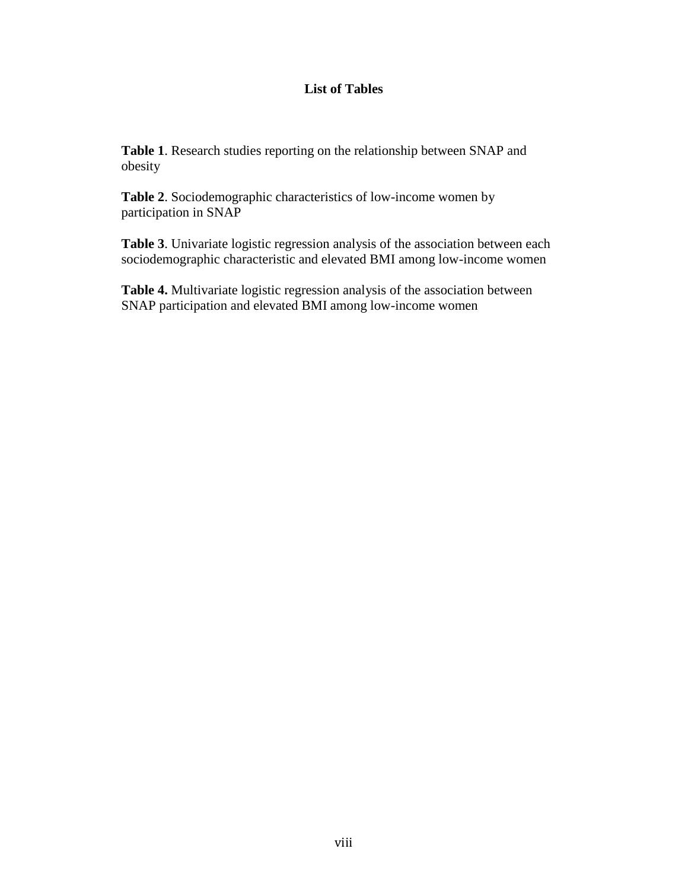## **List of Tables**

**Table 1**. Research studies reporting on the relationship between SNAP and obesity

**Table 2**. Sociodemographic characteristics of low-income women by participation in SNAP

**Table 3**. Univariate logistic regression analysis of the association between each sociodemographic characteristic and elevated BMI among low-income women

**Table 4.** Multivariate logistic regression analysis of the association between SNAP participation and elevated BMI among low-income women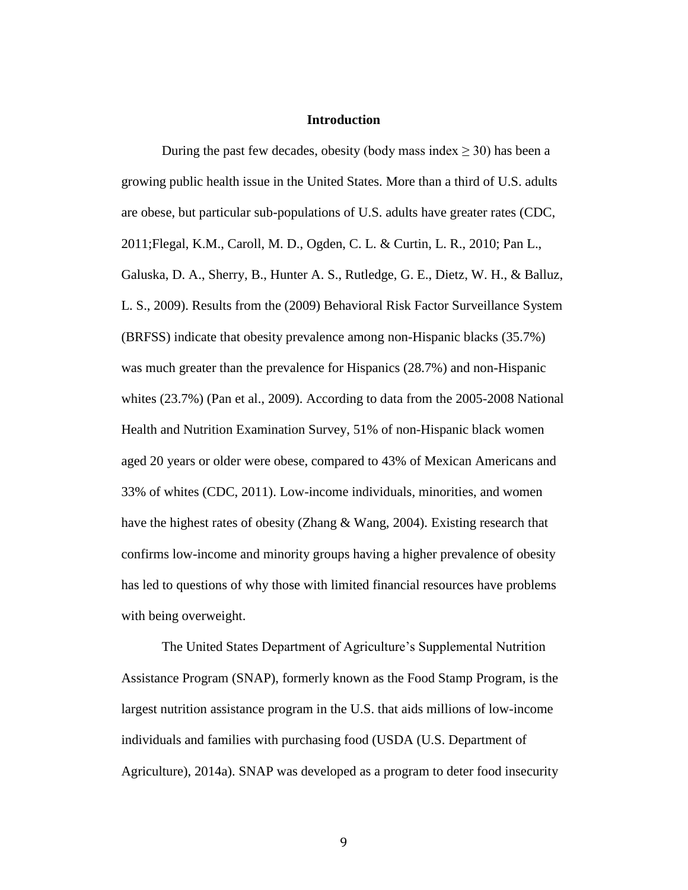#### **Introduction**

During the past few decades, obesity (body mass index  $\geq$  30) has been a growing public health issue in the United States. More than a third of U.S. adults are obese, but particular sub-populations of U.S. adults have greater rates (CDC, 2011;Flegal, K.M., Caroll, M. D., Ogden, C. L. & Curtin, L. R., 2010; Pan L., Galuska, D. A., Sherry, B., Hunter A. S., Rutledge, G. E., Dietz, W. H., & Balluz, L. S., 2009). Results from the (2009) Behavioral Risk Factor Surveillance System (BRFSS) indicate that obesity prevalence among non-Hispanic blacks (35.7%) was much greater than the prevalence for Hispanics (28.7%) and non-Hispanic whites (23.7%) (Pan et al., 2009). According to data from the 2005-2008 National Health and Nutrition Examination Survey, 51% of non-Hispanic black women aged 20 years or older were obese, compared to 43% of Mexican Americans and 33% of whites (CDC, 2011). Low-income individuals, minorities, and women have the highest rates of obesity (Zhang & Wang, 2004). Existing research that confirms low-income and minority groups having a higher prevalence of obesity has led to questions of why those with limited financial resources have problems with being overweight.

The United States Department of Agriculture's Supplemental Nutrition Assistance Program (SNAP), formerly known as the Food Stamp Program, is the largest nutrition assistance program in the U.S. that aids millions of low-income individuals and families with purchasing food (USDA (U.S. Department of Agriculture), 2014a). SNAP was developed as a program to deter food insecurity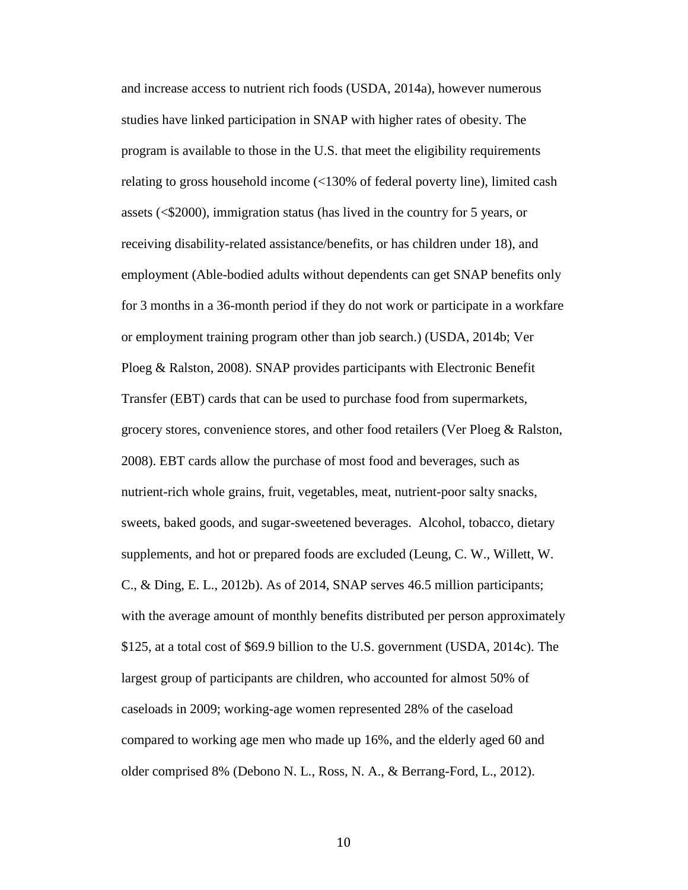and increase access to nutrient rich foods (USDA, 2014a), however numerous studies have linked participation in SNAP with higher rates of obesity. The program is available to those in the U.S. that meet the eligibility requirements relating to gross household income (<130% of federal poverty line), limited cash assets (<\$2000), immigration status (has lived in the country for 5 years, or receiving disability-related assistance/benefits, or has children under 18), and employment (Able-bodied adults without dependents can get SNAP benefits only for 3 months in a 36-month period if they do not work or participate in a workfare or employment training program other than job search.) (USDA, 2014b; Ver Ploeg & Ralston, 2008). SNAP provides participants with Electronic Benefit Transfer (EBT) cards that can be used to purchase food from supermarkets, grocery stores, convenience stores, and other food retailers (Ver Ploeg & Ralston, 2008). EBT cards allow the purchase of most food and beverages, such as nutrient-rich whole grains, fruit, vegetables, meat, nutrient-poor salty snacks, sweets, baked goods, and sugar-sweetened beverages. Alcohol, tobacco, dietary supplements, and hot or prepared foods are excluded (Leung, C. W., Willett, W. C., & Ding, E. L., 2012b). As of 2014, SNAP serves 46.5 million participants; with the average amount of monthly benefits distributed per person approximately \$125, at a total cost of \$69.9 billion to the U.S. government (USDA, 2014c). The largest group of participants are children, who accounted for almost 50% of caseloads in 2009; working-age women represented 28% of the caseload compared to working age men who made up 16%, and the elderly aged 60 and older comprised 8% (Debono N. L., Ross, N. A., & Berrang-Ford, L., 2012).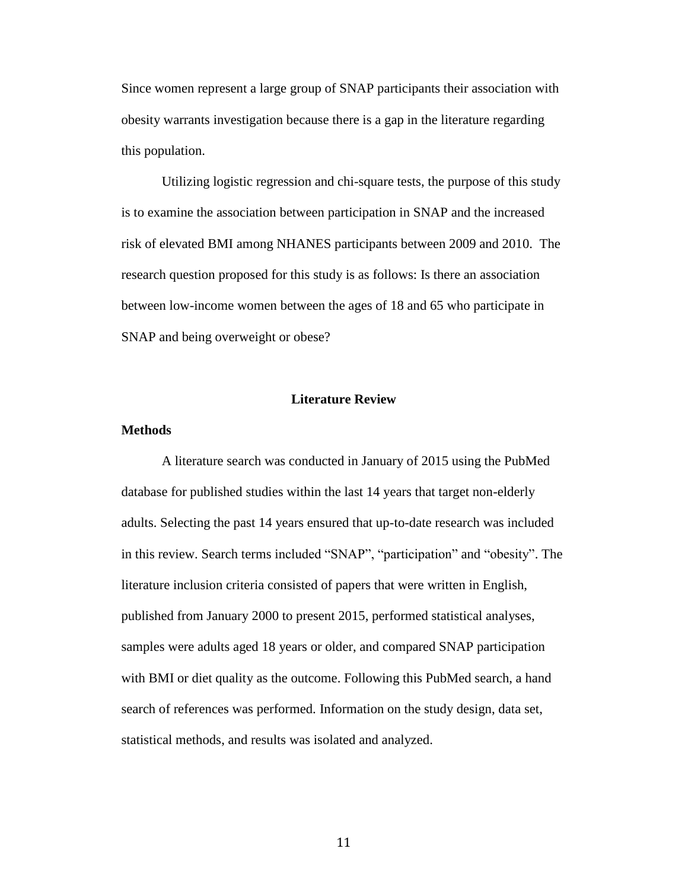Since women represent a large group of SNAP participants their association with obesity warrants investigation because there is a gap in the literature regarding this population.

Utilizing logistic regression and chi-square tests, the purpose of this study is to examine the association between participation in SNAP and the increased risk of elevated BMI among NHANES participants between 2009 and 2010. The research question proposed for this study is as follows: Is there an association between low-income women between the ages of 18 and 65 who participate in SNAP and being overweight or obese?

#### **Literature Review**

#### **Methods**

A literature search was conducted in January of 2015 using the PubMed database for published studies within the last 14 years that target non-elderly adults. Selecting the past 14 years ensured that up-to-date research was included in this review. Search terms included "SNAP", "participation" and "obesity". The literature inclusion criteria consisted of papers that were written in English, published from January 2000 to present 2015, performed statistical analyses, samples were adults aged 18 years or older, and compared SNAP participation with BMI or diet quality as the outcome. Following this PubMed search, a hand search of references was performed. Information on the study design, data set, statistical methods, and results was isolated and analyzed.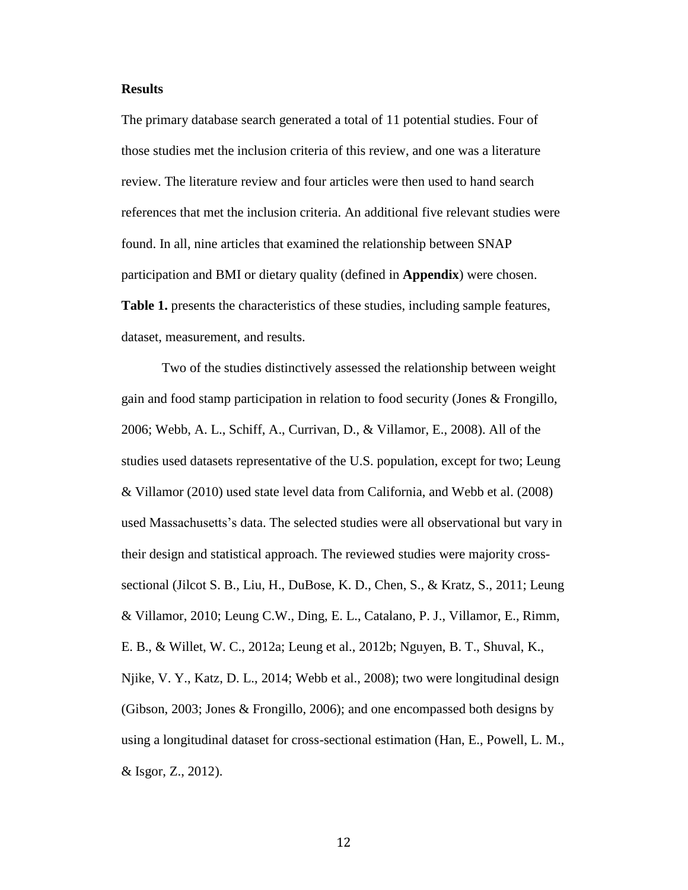#### **Results**

The primary database search generated a total of 11 potential studies. Four of those studies met the inclusion criteria of this review, and one was a literature review. The literature review and four articles were then used to hand search references that met the inclusion criteria. An additional five relevant studies were found. In all, nine articles that examined the relationship between SNAP participation and BMI or dietary quality (defined in **Appendix**) were chosen. **Table 1.** presents the characteristics of these studies, including sample features, dataset, measurement, and results.

Two of the studies distinctively assessed the relationship between weight gain and food stamp participation in relation to food security (Jones & Frongillo, 2006; Webb, A. L., Schiff, A., Currivan, D., & Villamor, E., 2008). All of the studies used datasets representative of the U.S. population, except for two; Leung & Villamor (2010) used state level data from California, and Webb et al. (2008) used Massachusetts's data. The selected studies were all observational but vary in their design and statistical approach. The reviewed studies were majority crosssectional (Jilcot S. B., Liu, H., DuBose, K. D., Chen, S., & Kratz, S., 2011; Leung & Villamor, 2010; Leung C.W., Ding, E. L., Catalano, P. J., Villamor, E., Rimm, E. B., & Willet, W. C., 2012a; Leung et al., 2012b; Nguyen, B. T., Shuval, K., Njike, V. Y., Katz, D. L., 2014; Webb et al., 2008); two were longitudinal design (Gibson, 2003; Jones & Frongillo, 2006); and one encompassed both designs by using a longitudinal dataset for cross-sectional estimation (Han, E., Powell, L. M., & Isgor, Z., 2012).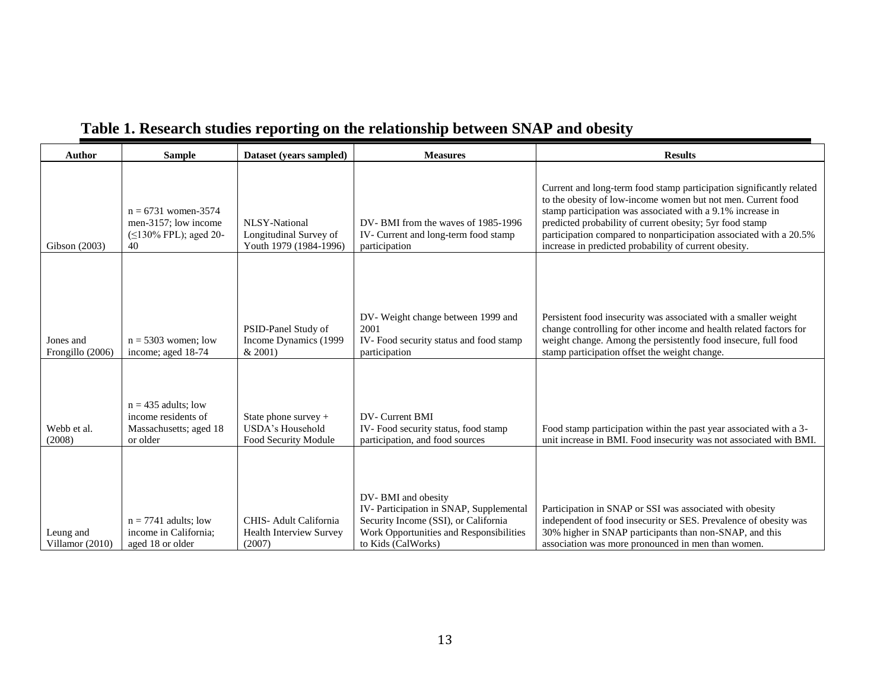| <b>Author</b>                 | <b>Sample</b>                                                                      | Dataset (years sampled)                                                  | <b>Measures</b>                                                                                                                                                       | <b>Results</b>                                                                                                                                                                                                                                                                                                                                                                                |  |  |
|-------------------------------|------------------------------------------------------------------------------------|--------------------------------------------------------------------------|-----------------------------------------------------------------------------------------------------------------------------------------------------------------------|-----------------------------------------------------------------------------------------------------------------------------------------------------------------------------------------------------------------------------------------------------------------------------------------------------------------------------------------------------------------------------------------------|--|--|
| Gibson (2003)                 | $n = 6731$ women-3574<br>men-3157; low income<br>(≤130% FPL); aged 20-<br>40       | <b>NLSY-National</b><br>Longitudinal Survey of<br>Youth 1979 (1984-1996) | DV-BMI from the waves of 1985-1996<br>IV- Current and long-term food stamp<br>participation                                                                           | Current and long-term food stamp participation significantly related<br>to the obesity of low-income women but not men. Current food<br>stamp participation was associated with a 9.1% increase in<br>predicted probability of current obesity; 5yr food stamp<br>participation compared to nonparticipation associated with a 20.5%<br>increase in predicted probability of current obesity. |  |  |
| Jones and<br>Frongillo (2006) | $n = 5303$ women; low<br>income; aged 18-74                                        | PSID-Panel Study of<br>Income Dynamics (1999<br>& 2001                   | DV-Weight change between 1999 and<br>2001<br>IV-Food security status and food stamp<br>participation                                                                  | Persistent food insecurity was associated with a smaller weight<br>change controlling for other income and health related factors for<br>weight change. Among the persistently food insecure, full food<br>stamp participation offset the weight change.                                                                                                                                      |  |  |
| Webb et al.<br>(2008)         | $n = 435$ adults: low<br>income residents of<br>Massachusetts; aged 18<br>or older | State phone survey $+$<br>USDA's Household<br>Food Security Module       | DV- Current BMI<br>IV-Food security status, food stamp<br>participation, and food sources                                                                             | Food stamp participation within the past year associated with a 3-<br>unit increase in BMI. Food insecurity was not associated with BMI.                                                                                                                                                                                                                                                      |  |  |
| Leung and<br>Villamor (2010)  | $n = 7741$ adults; low<br>income in California;<br>aged 18 or older                | CHIS-Adult California<br><b>Health Interview Survey</b><br>(2007)        | DV-BMI and obesity<br>IV-Participation in SNAP, Supplemental<br>Security Income (SSI), or California<br>Work Opportunities and Responsibilities<br>to Kids (CalWorks) | Participation in SNAP or SSI was associated with obesity<br>independent of food insecurity or SES. Prevalence of obesity was<br>30% higher in SNAP participants than non-SNAP, and this<br>association was more pronounced in men than women.                                                                                                                                                 |  |  |

# **Table 1. Research studies reporting on the relationship between SNAP and obesity**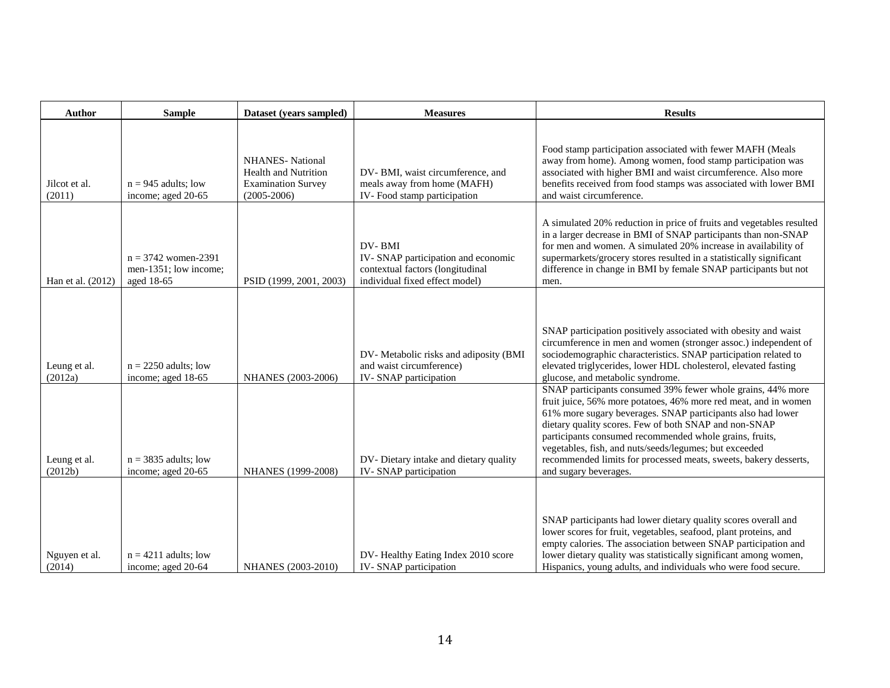| <b>Author</b>           | <b>Sample</b>                                                | Dataset (years sampled)                                                                                | <b>Measures</b>                                                                                                    | <b>Results</b>                                                                                                                                                                                                                                                                                                                                                                                            |  |  |
|-------------------------|--------------------------------------------------------------|--------------------------------------------------------------------------------------------------------|--------------------------------------------------------------------------------------------------------------------|-----------------------------------------------------------------------------------------------------------------------------------------------------------------------------------------------------------------------------------------------------------------------------------------------------------------------------------------------------------------------------------------------------------|--|--|
| Jilcot et al.<br>(2011) | $n = 945$ adults; low<br>income; aged 20-65                  | <b>NHANES-</b> National<br><b>Health and Nutrition</b><br><b>Examination Survey</b><br>$(2005 - 2006)$ | DV-BMI, waist circumference, and<br>meals away from home (MAFH)<br>IV-Food stamp participation                     | Food stamp participation associated with fewer MAFH (Meals<br>away from home). Among women, food stamp participation was<br>associated with higher BMI and waist circumference. Also more<br>benefits received from food stamps was associated with lower BMI<br>and waist circumference.                                                                                                                 |  |  |
| Han et al. (2012)       | $n = 3742$ women-2391<br>men-1351; low income;<br>aged 18-65 | PSID (1999, 2001, 2003)                                                                                | DV-BMI<br>IV-SNAP participation and economic<br>contextual factors (longitudinal<br>individual fixed effect model) | A simulated 20% reduction in price of fruits and vegetables resulted<br>in a larger decrease in BMI of SNAP participants than non-SNAP<br>for men and women. A simulated 20% increase in availability of<br>supermarkets/grocery stores resulted in a statistically significant<br>difference in change in BMI by female SNAP participants but not<br>men.                                                |  |  |
| Leung et al.<br>(2012a) | $n = 2250$ adults; low<br>income; aged 18-65                 | NHANES (2003-2006)                                                                                     | DV-Metabolic risks and adiposity (BMI<br>and waist circumference)<br>IV-SNAP participation                         | SNAP participation positively associated with obesity and waist<br>circumference in men and women (stronger assoc.) independent of<br>sociodemographic characteristics. SNAP participation related to<br>elevated triglycerides, lower HDL cholesterol, elevated fasting<br>glucose, and metabolic syndrome.<br>SNAP participants consumed 39% fewer whole grains, 44% more                               |  |  |
| Leung et al.<br>(2012b) | $n = 3835$ adults; low<br>income; aged 20-65                 | NHANES (1999-2008)                                                                                     | DV- Dietary intake and dietary quality<br>IV-SNAP participation                                                    | fruit juice, 56% more potatoes, 46% more red meat, and in women<br>61% more sugary beverages. SNAP participants also had lower<br>dietary quality scores. Few of both SNAP and non-SNAP<br>participants consumed recommended whole grains, fruits,<br>vegetables, fish, and nuts/seeds/legumes; but exceeded<br>recommended limits for processed meats, sweets, bakery desserts,<br>and sugary beverages. |  |  |
| Nguyen et al.<br>(2014) | $n = 4211$ adults; low<br>income; aged 20-64                 | NHANES (2003-2010)                                                                                     | DV-Healthy Eating Index 2010 score<br>IV-SNAP participation                                                        | SNAP participants had lower dietary quality scores overall and<br>lower scores for fruit, vegetables, seafood, plant proteins, and<br>empty calories. The association between SNAP participation and<br>lower dietary quality was statistically significant among women,<br>Hispanics, young adults, and individuals who were food secure.                                                                |  |  |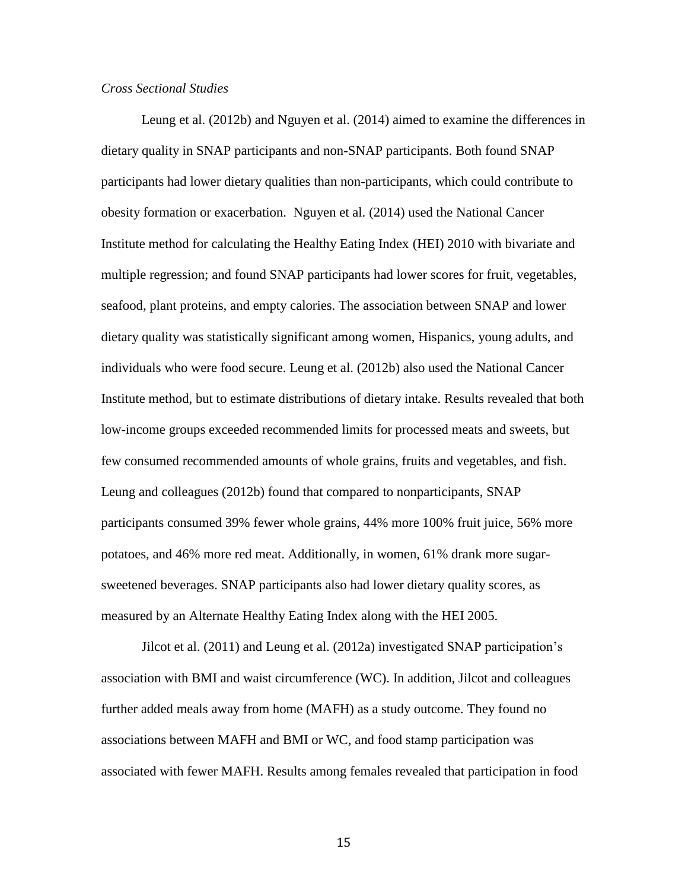#### *Cross Sectional Studies*

Leung et al. (2012b) and Nguyen et al. (2014) aimed to examine the differences in dietary quality in SNAP participants and non-SNAP participants. Both found SNAP participants had lower dietary qualities than non-participants, which could contribute to obesity formation or exacerbation. Nguyen et al. (2014) used the National Cancer Institute method for calculating the Healthy Eating Index (HEI) 2010 with bivariate and multiple regression; and found SNAP participants had lower scores for fruit, vegetables, seafood, plant proteins, and empty calories. The association between SNAP and lower dietary quality was statistically significant among women, Hispanics, young adults, and individuals who were food secure. Leung et al. (2012b) also used the National Cancer Institute method, but to estimate distributions of dietary intake. Results revealed that both low-income groups exceeded recommended limits for processed meats and sweets, but few consumed recommended amounts of whole grains, fruits and vegetables, and fish. Leung and colleagues (2012b) found that compared to nonparticipants, SNAP participants consumed 39% fewer whole grains, 44% more 100% fruit juice, 56% more potatoes, and 46% more red meat. Additionally, in women, 61% drank more sugarsweetened beverages. SNAP participants also had lower dietary quality scores, as measured by an Alternate Healthy Eating Index along with the HEI 2005.

Jilcot et al. (2011) and Leung et al. (2012a) investigated SNAP participation's association with BMI and waist circumference (WC). In addition, Jilcot and colleagues further added meals away from home (MAFH) as a study outcome. They found no associations between MAFH and BMI or WC, and food stamp participation was associated with fewer MAFH. Results among females revealed that participation in food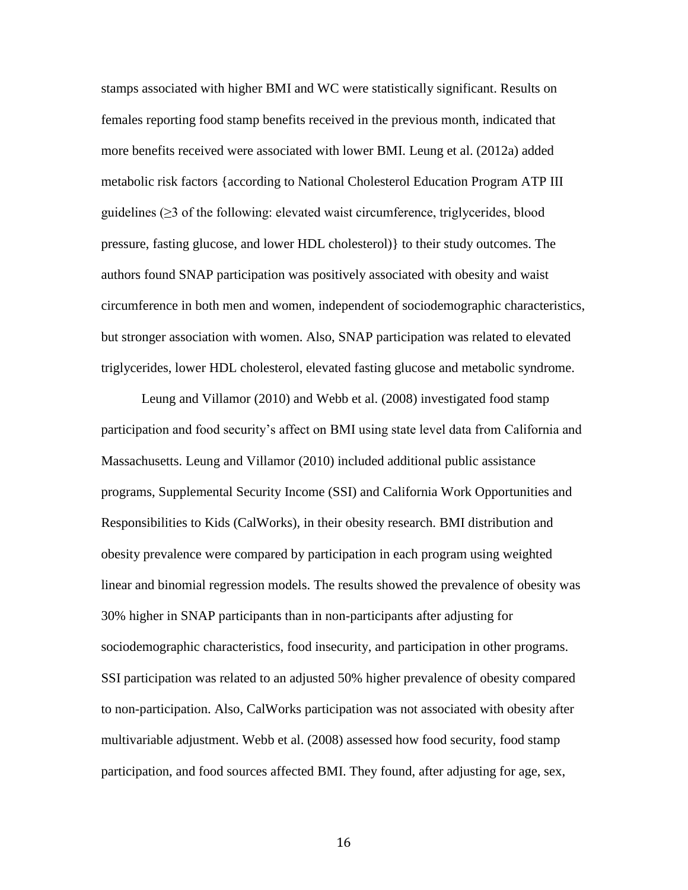stamps associated with higher BMI and WC were statistically significant. Results on females reporting food stamp benefits received in the previous month, indicated that more benefits received were associated with lower BMI. Leung et al. (2012a) added metabolic risk factors {according to National Cholesterol Education Program ATP III guidelines  $(\geq)$  of the following: elevated waist circumference, triglycerides, blood pressure, fasting glucose, and lower HDL cholesterol)} to their study outcomes. The authors found SNAP participation was positively associated with obesity and waist circumference in both men and women, independent of sociodemographic characteristics, but stronger association with women. Also, SNAP participation was related to elevated triglycerides, lower HDL cholesterol, elevated fasting glucose and metabolic syndrome.

Leung and Villamor (2010) and Webb et al. (2008) investigated food stamp participation and food security's affect on BMI using state level data from California and Massachusetts. Leung and Villamor (2010) included additional public assistance programs, Supplemental Security Income (SSI) and California Work Opportunities and Responsibilities to Kids (CalWorks), in their obesity research. BMI distribution and obesity prevalence were compared by participation in each program using weighted linear and binomial regression models. The results showed the prevalence of obesity was 30% higher in SNAP participants than in non-participants after adjusting for sociodemographic characteristics, food insecurity, and participation in other programs. SSI participation was related to an adjusted 50% higher prevalence of obesity compared to non-participation. Also, CalWorks participation was not associated with obesity after multivariable adjustment. Webb et al. (2008) assessed how food security, food stamp participation, and food sources affected BMI. They found, after adjusting for age, sex,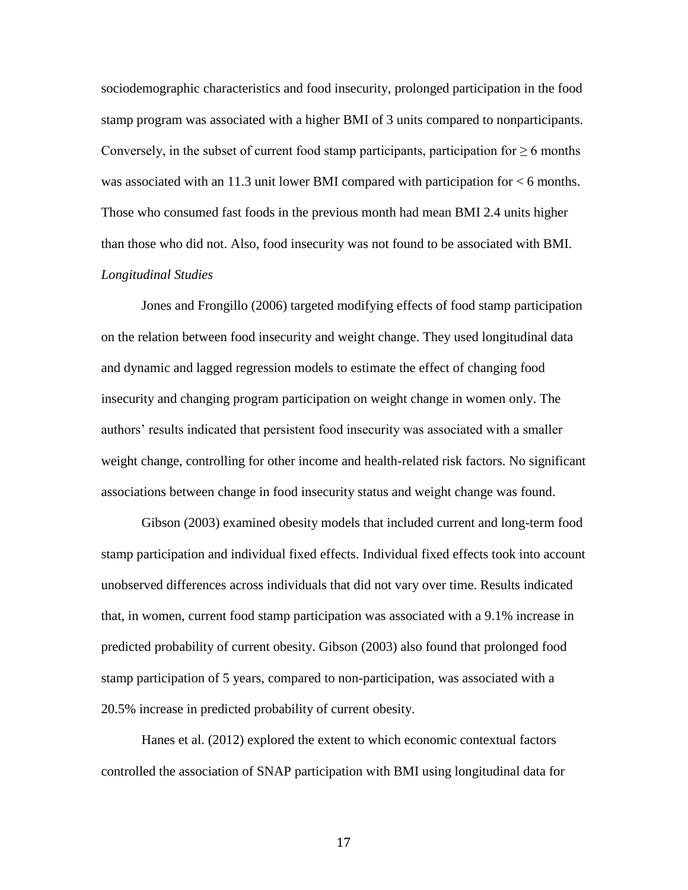sociodemographic characteristics and food insecurity, prolonged participation in the food stamp program was associated with a higher BMI of 3 units compared to nonparticipants. Conversely, in the subset of current food stamp participants, participation for  $\geq 6$  months was associated with an 11.3 unit lower BMI compared with participation for < 6 months. Those who consumed fast foods in the previous month had mean BMI 2.4 units higher than those who did not. Also, food insecurity was not found to be associated with BMI. *Longitudinal Studies*

Jones and Frongillo (2006) targeted modifying effects of food stamp participation on the relation between food insecurity and weight change. They used longitudinal data and dynamic and lagged regression models to estimate the effect of changing food insecurity and changing program participation on weight change in women only. The authors' results indicated that persistent food insecurity was associated with a smaller weight change, controlling for other income and health-related risk factors. No significant associations between change in food insecurity status and weight change was found.

Gibson (2003) examined obesity models that included current and long-term food stamp participation and individual fixed effects. Individual fixed effects took into account unobserved differences across individuals that did not vary over time. Results indicated that, in women, current food stamp participation was associated with a 9.1% increase in predicted probability of current obesity. Gibson (2003) also found that prolonged food stamp participation of 5 years, compared to non-participation, was associated with a 20.5% increase in predicted probability of current obesity.

Hanes et al. (2012) explored the extent to which economic contextual factors controlled the association of SNAP participation with BMI using longitudinal data for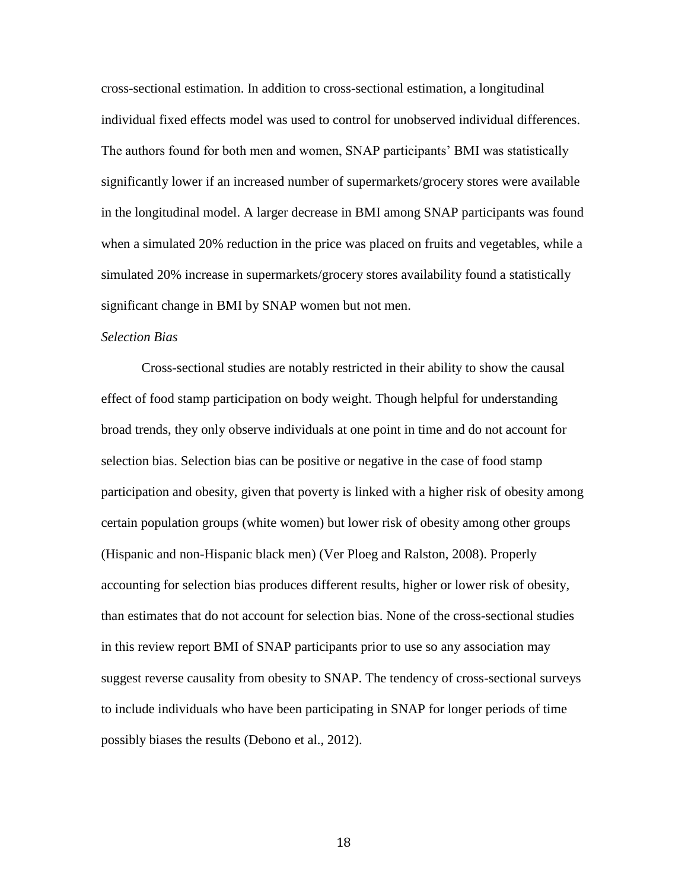cross-sectional estimation. In addition to cross-sectional estimation, a longitudinal individual fixed effects model was used to control for unobserved individual differences. The authors found for both men and women, SNAP participants' BMI was statistically significantly lower if an increased number of supermarkets/grocery stores were available in the longitudinal model. A larger decrease in BMI among SNAP participants was found when a simulated 20% reduction in the price was placed on fruits and vegetables, while a simulated 20% increase in supermarkets/grocery stores availability found a statistically significant change in BMI by SNAP women but not men.

#### *Selection Bias*

Cross-sectional studies are notably restricted in their ability to show the causal effect of food stamp participation on body weight. Though helpful for understanding broad trends, they only observe individuals at one point in time and do not account for selection bias. Selection bias can be positive or negative in the case of food stamp participation and obesity, given that poverty is linked with a higher risk of obesity among certain population groups (white women) but lower risk of obesity among other groups (Hispanic and non-Hispanic black men) (Ver Ploeg and Ralston, 2008). Properly accounting for selection bias produces different results, higher or lower risk of obesity, than estimates that do not account for selection bias. None of the cross-sectional studies in this review report BMI of SNAP participants prior to use so any association may suggest reverse causality from obesity to SNAP. The tendency of cross-sectional surveys to include individuals who have been participating in SNAP for longer periods of time possibly biases the results (Debono et al., 2012).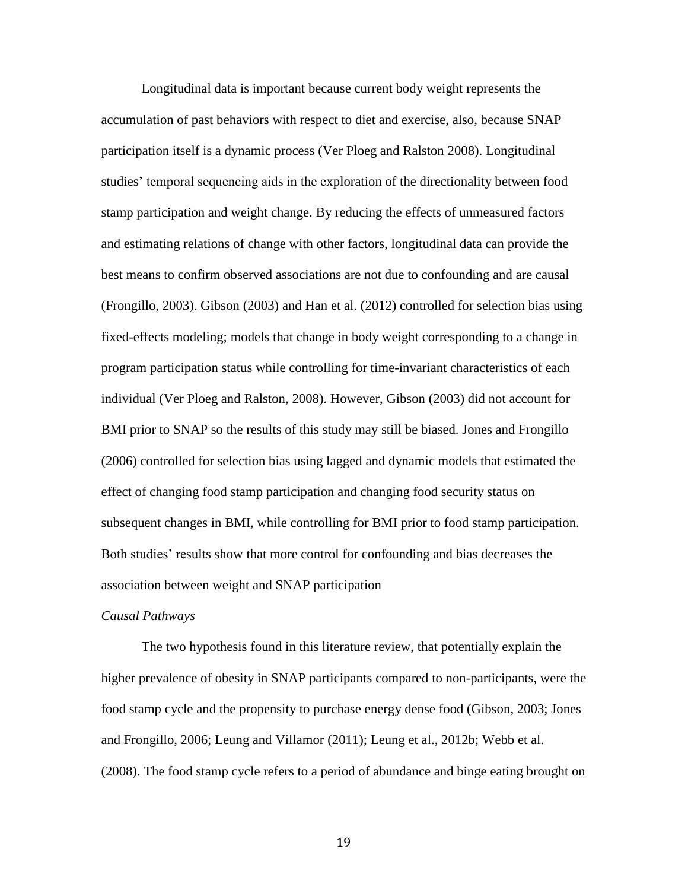Longitudinal data is important because current body weight represents the accumulation of past behaviors with respect to diet and exercise, also, because SNAP participation itself is a dynamic process (Ver Ploeg and Ralston 2008). Longitudinal studies' temporal sequencing aids in the exploration of the directionality between food stamp participation and weight change. By reducing the effects of unmeasured factors and estimating relations of change with other factors, longitudinal data can provide the best means to confirm observed associations are not due to confounding and are causal (Frongillo, 2003). Gibson (2003) and Han et al. (2012) controlled for selection bias using fixed-effects modeling; models that change in body weight corresponding to a change in program participation status while controlling for time-invariant characteristics of each individual (Ver Ploeg and Ralston, 2008). However, Gibson (2003) did not account for BMI prior to SNAP so the results of this study may still be biased. Jones and Frongillo (2006) controlled for selection bias using lagged and dynamic models that estimated the effect of changing food stamp participation and changing food security status on subsequent changes in BMI, while controlling for BMI prior to food stamp participation. Both studies' results show that more control for confounding and bias decreases the association between weight and SNAP participation

#### *Causal Pathways*

The two hypothesis found in this literature review, that potentially explain the higher prevalence of obesity in SNAP participants compared to non-participants, were the food stamp cycle and the propensity to purchase energy dense food (Gibson, 2003; Jones and Frongillo, 2006; Leung and Villamor (2011); Leung et al., 2012b; Webb et al. (2008). The food stamp cycle refers to a period of abundance and binge eating brought on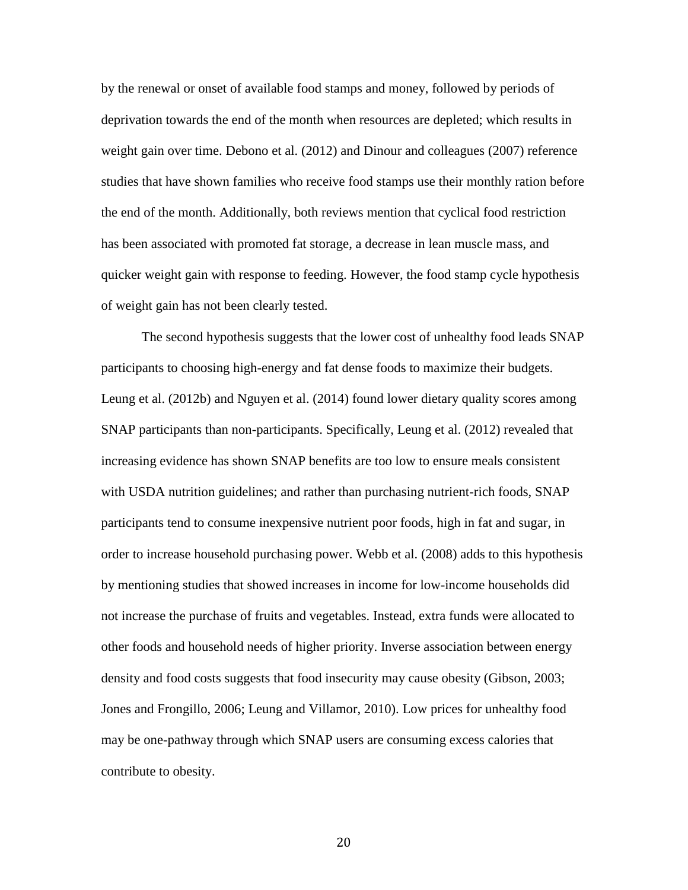by the renewal or onset of available food stamps and money, followed by periods of deprivation towards the end of the month when resources are depleted; which results in weight gain over time. Debono et al. (2012) and Dinour and colleagues (2007) reference studies that have shown families who receive food stamps use their monthly ration before the end of the month. Additionally, both reviews mention that cyclical food restriction has been associated with promoted fat storage, a decrease in lean muscle mass, and quicker weight gain with response to feeding. However, the food stamp cycle hypothesis of weight gain has not been clearly tested.

The second hypothesis suggests that the lower cost of unhealthy food leads SNAP participants to choosing high-energy and fat dense foods to maximize their budgets. Leung et al. (2012b) and Nguyen et al. (2014) found lower dietary quality scores among SNAP participants than non-participants. Specifically, Leung et al. (2012) revealed that increasing evidence has shown SNAP benefits are too low to ensure meals consistent with USDA nutrition guidelines; and rather than purchasing nutrient-rich foods, SNAP participants tend to consume inexpensive nutrient poor foods, high in fat and sugar, in order to increase household purchasing power. Webb et al. (2008) adds to this hypothesis by mentioning studies that showed increases in income for low-income households did not increase the purchase of fruits and vegetables. Instead, extra funds were allocated to other foods and household needs of higher priority. Inverse association between energy density and food costs suggests that food insecurity may cause obesity (Gibson, 2003; Jones and Frongillo, 2006; Leung and Villamor, 2010). Low prices for unhealthy food may be one-pathway through which SNAP users are consuming excess calories that contribute to obesity.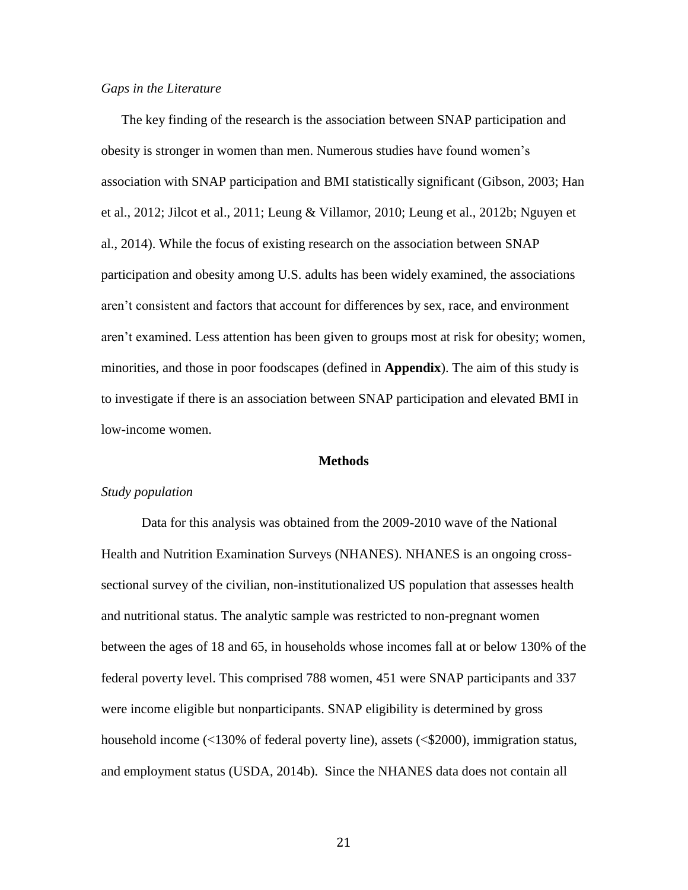#### *Gaps in the Literature*

The key finding of the research is the association between SNAP participation and obesity is stronger in women than men. Numerous studies have found women's association with SNAP participation and BMI statistically significant (Gibson, 2003; Han et al., 2012; Jilcot et al., 2011; Leung & Villamor, 2010; Leung et al., 2012b; Nguyen et al., 2014). While the focus of existing research on the association between SNAP participation and obesity among U.S. adults has been widely examined, the associations aren't consistent and factors that account for differences by sex, race, and environment aren't examined. Less attention has been given to groups most at risk for obesity; women, minorities, and those in poor foodscapes (defined in **Appendix**). The aim of this study is to investigate if there is an association between SNAP participation and elevated BMI in low-income women.

#### **Methods**

#### *Study population*

Data for this analysis was obtained from the 2009-2010 wave of the National Health and Nutrition Examination Surveys (NHANES). NHANES is an ongoing crosssectional survey of the civilian, non-institutionalized US population that assesses health and nutritional status. The analytic sample was restricted to non-pregnant women between the ages of 18 and 65, in households whose incomes fall at or below 130% of the federal poverty level. This comprised 788 women, 451 were SNAP participants and 337 were income eligible but nonparticipants. SNAP eligibility is determined by gross household income (<130% of federal poverty line), assets (<\$2000), immigration status, and employment status (USDA, 2014b). Since the NHANES data does not contain all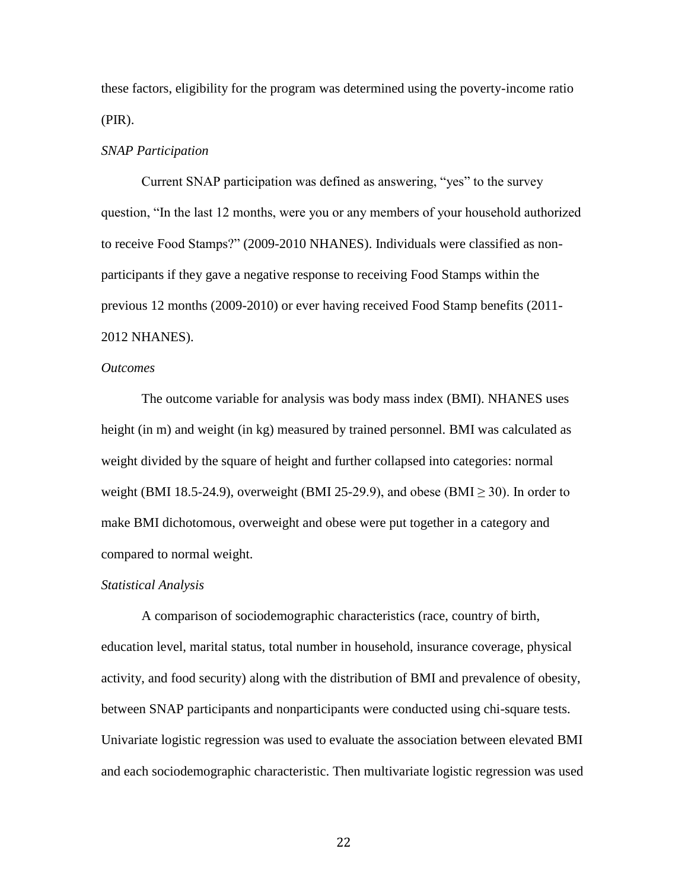these factors, eligibility for the program was determined using the poverty-income ratio (PIR).

#### *SNAP Participation*

Current SNAP participation was defined as answering, "yes" to the survey question, "In the last 12 months, were you or any members of your household authorized to receive Food Stamps?" (2009-2010 NHANES). Individuals were classified as nonparticipants if they gave a negative response to receiving Food Stamps within the previous 12 months (2009-2010) or ever having received Food Stamp benefits (2011- 2012 NHANES).

#### *Outcomes*

The outcome variable for analysis was body mass index (BMI). NHANES uses height (in m) and weight (in kg) measured by trained personnel. BMI was calculated as weight divided by the square of height and further collapsed into categories: normal weight (BMI 18.5-24.9), overweight (BMI 25-29.9), and obese (BMI  $\geq$  30). In order to make BMI dichotomous, overweight and obese were put together in a category and compared to normal weight.

#### *Statistical Analysis*

A comparison of sociodemographic characteristics (race, country of birth, education level, marital status, total number in household, insurance coverage, physical activity, and food security) along with the distribution of BMI and prevalence of obesity, between SNAP participants and nonparticipants were conducted using chi-square tests. Univariate logistic regression was used to evaluate the association between elevated BMI and each sociodemographic characteristic. Then multivariate logistic regression was used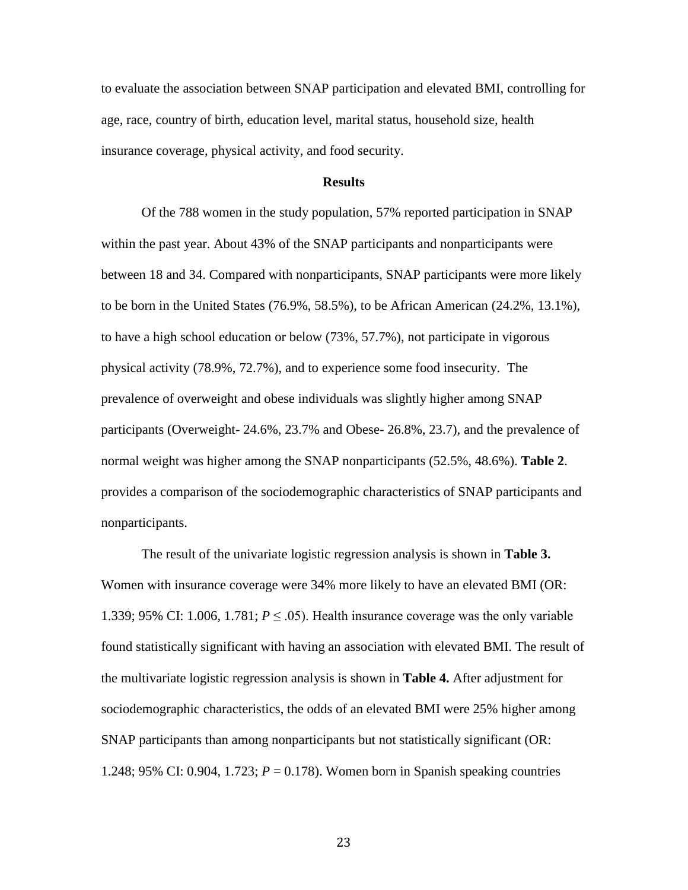to evaluate the association between SNAP participation and elevated BMI, controlling for age, race, country of birth, education level, marital status, household size, health insurance coverage, physical activity, and food security.

#### **Results**

Of the 788 women in the study population, 57% reported participation in SNAP within the past year. About 43% of the SNAP participants and nonparticipants were between 18 and 34. Compared with nonparticipants, SNAP participants were more likely to be born in the United States (76.9%, 58.5%), to be African American (24.2%, 13.1%), to have a high school education or below (73%, 57.7%), not participate in vigorous physical activity (78.9%, 72.7%), and to experience some food insecurity. The prevalence of overweight and obese individuals was slightly higher among SNAP participants (Overweight- 24.6%, 23.7% and Obese- 26.8%, 23.7), and the prevalence of normal weight was higher among the SNAP nonparticipants (52.5%, 48.6%). **Table 2**. provides a comparison of the sociodemographic characteristics of SNAP participants and nonparticipants.

The result of the univariate logistic regression analysis is shown in **Table 3.** Women with insurance coverage were 34% more likely to have an elevated BMI (OR: 1.339; 95% CI: 1.006, 1.781;  $P \leq .05$ ). Health insurance coverage was the only variable found statistically significant with having an association with elevated BMI. The result of the multivariate logistic regression analysis is shown in **Table 4.** After adjustment for sociodemographic characteristics, the odds of an elevated BMI were 25% higher among SNAP participants than among nonparticipants but not statistically significant (OR: 1.248; 95% CI: 0.904, 1.723; *P* = 0.178). Women born in Spanish speaking countries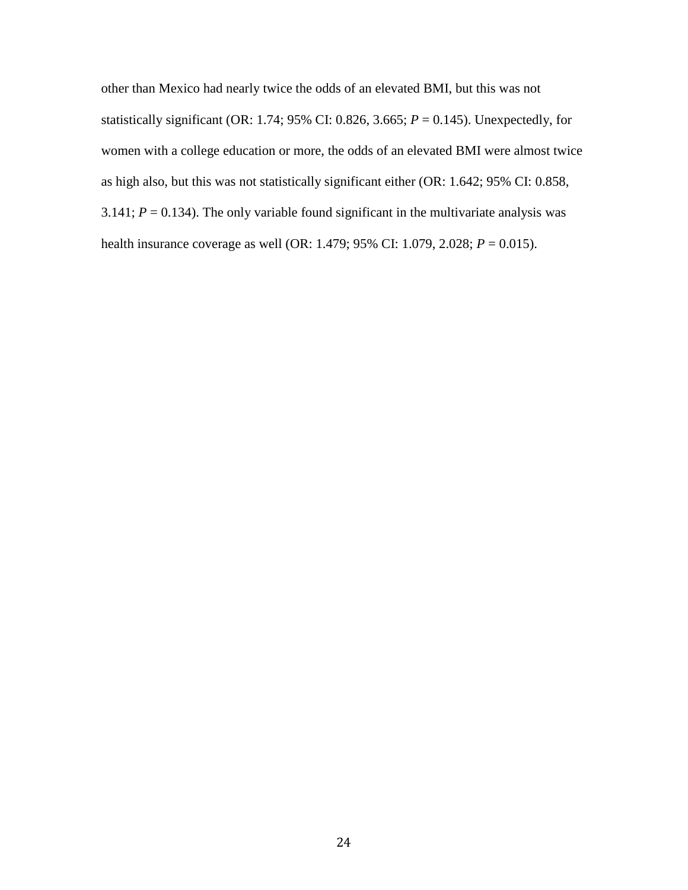other than Mexico had nearly twice the odds of an elevated BMI, but this was not statistically significant (OR: 1.74; 95% CI: 0.826, 3.665; *P* = 0.145). Unexpectedly, for women with a college education or more, the odds of an elevated BMI were almost twice as high also, but this was not statistically significant either (OR: 1.642; 95% CI: 0.858, 3.141;  $P = 0.134$ ). The only variable found significant in the multivariate analysis was health insurance coverage as well (OR: 1.479; 95% CI: 1.079, 2.028; *P* = 0.015).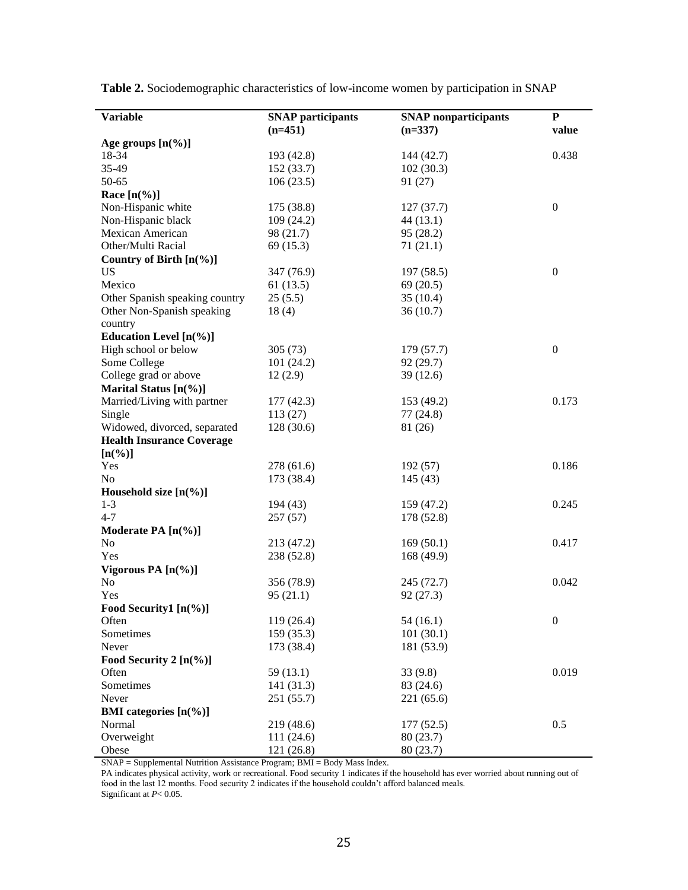| <b>Variable</b>                    | <b>SNAP</b> participants | <b>SNAP</b> nonparticipants | ${\bf P}$        |
|------------------------------------|--------------------------|-----------------------------|------------------|
|                                    | $(n=451)$                | $(n=337)$                   | value            |
| Age groups $[n(\%)]$               |                          |                             |                  |
| 18-34                              | 193 (42.8)               | 144(42.7)                   | 0.438            |
| 35-49                              | 152 (33.7)               | 102(30.3)                   |                  |
| 50-65                              | 106(23.5)                | 91(27)                      |                  |
| Race $[n\left(\frac{9}{6}\right)]$ |                          |                             |                  |
| Non-Hispanic white                 | 175 (38.8)               | 127(37.7)                   | $\boldsymbol{0}$ |
| Non-Hispanic black                 | 109(24.2)                | 44(13.1)                    |                  |
| Mexican American                   | 98 (21.7)                | 95(28.2)                    |                  |
| Other/Multi Racial                 | 69(15.3)                 | 71(21.1)                    |                  |
| Country of Birth $[n(\%)]$         |                          |                             |                  |
| <b>US</b>                          | 347 (76.9)               | 197(58.5)                   | $\boldsymbol{0}$ |
| Mexico                             | 61(13.5)                 | 69(20.5)                    |                  |
| Other Spanish speaking country     | 25(5.5)                  | 35(10.4)                    |                  |
| Other Non-Spanish speaking         | 18(4)                    | 36(10.7)                    |                  |
| country                            |                          |                             |                  |
| Education Level $[n(\%)]$          |                          |                             |                  |
| High school or below               | 305(73)                  | 179(57.7)                   | $\boldsymbol{0}$ |
| Some College                       | 101(24.2)                | 92(29.7)                    |                  |
| College grad or above              | 12(2.9)                  | 39(12.6)                    |                  |
| Marital Status $[n(\%)]$           |                          |                             |                  |
| Married/Living with partner        | 177(42.3)                | 153 (49.2)                  | 0.173            |
| Single                             | 113(27)                  | 77(24.8)                    |                  |
| Widowed, divorced, separated       | 128(30.6)                | 81 (26)                     |                  |
| <b>Health Insurance Coverage</b>   |                          |                             |                  |
| $[n(\%)]$                          |                          |                             |                  |
| Yes                                | 278 (61.6)               | 192(57)                     | 0.186            |
| N <sub>o</sub>                     | 173 (38.4)               | 145(43)                     |                  |
| Household size $[n(\%)]$           |                          |                             |                  |
| $1 - 3$                            | 194 (43)                 | 159 (47.2)                  | 0.245            |
| $4 - 7$                            | 257(57)                  | 178 (52.8)                  |                  |
| Moderate PA [n(%)]                 |                          |                             |                  |
| N <sub>o</sub>                     | 213 (47.2)               | 169(50.1)                   | 0.417            |
| Yes                                | 238 (52.8)               | 168 (49.9)                  |                  |
| Vigorous PA [n(%)]                 |                          |                             |                  |
| No                                 | 356 (78.9)               | 245 (72.7)                  | 0.042            |
| Yes                                | 95(21.1)                 | 92(27.3)                    |                  |
| Food Security1 [n(%)]              |                          |                             |                  |
| Often                              | 119 (26.4)               | 54(16.1)                    | $\boldsymbol{0}$ |
| Sometimes                          | 159 (35.3)               | 101(30.1)                   |                  |
| Never                              | 173 (38.4)               | 181 (53.9)                  |                  |
| Food Security 2 $[n(\%)]$          |                          |                             |                  |
| Often                              | 59 (13.1)                | 33(9.8)                     | 0.019            |
| Sometimes                          | 141 (31.3)               | 83 (24.6)                   |                  |
| Never                              | 251 (55.7)               | 221(65.6)                   |                  |
| <b>BMI</b> categories $[n(\%)]$    |                          |                             |                  |
| Normal                             | 219 (48.6)               | 177(52.5)                   | 0.5              |
| Overweight                         | 111 (24.6)               | 80(23.7)                    |                  |
| Obese                              | 121 (26.8)               | 80 (23.7)                   |                  |

**Table 2.** Sociodemographic characteristics of low-income women by participation in SNAP

SNAP = Supplemental Nutrition Assistance Program; BMI = Body Mass Index.

PA indicates physical activity, work or recreational. Food security 1 indicates if the household has ever worried about running out of food in the last 12 months. Food security 2 indicates if the household couldn't afford balanced meals.

Significant at *P*< 0.05.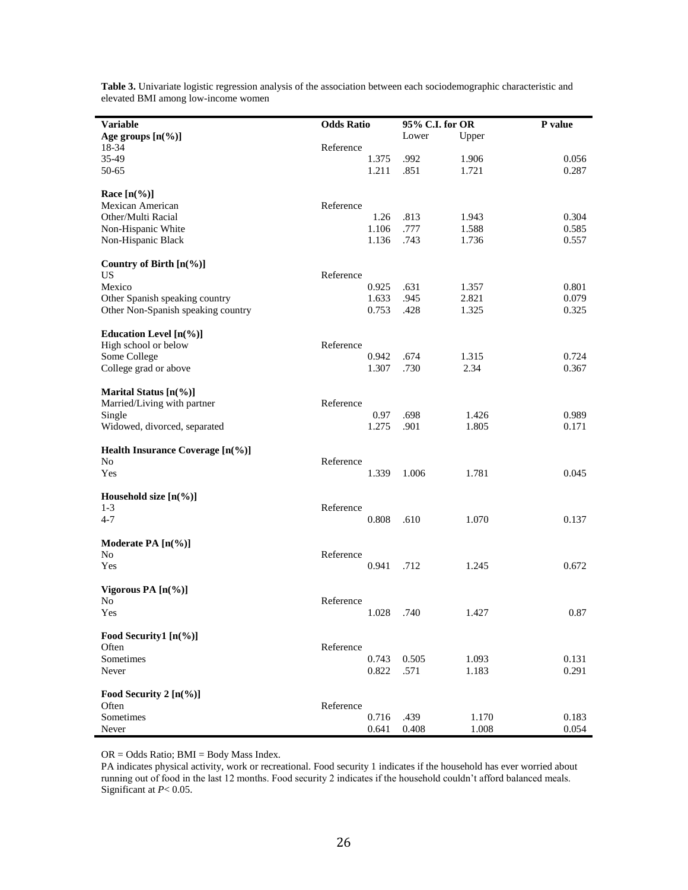| <b>Variable</b>                     | <b>Odds Ratio</b> |            | 95% C.I. for OR |       | P value |
|-------------------------------------|-------------------|------------|-----------------|-------|---------|
| Age groups $[n(\%)]$                |                   |            | Lower           | Upper |         |
| 18-34                               | Reference         |            |                 |       |         |
| 35-49                               |                   | 1.375      | .992            | 1.906 | 0.056   |
| 50-65                               |                   | 1.211      | .851            | 1.721 | 0.287   |
|                                     |                   |            |                 |       |         |
| Race $[n(\%)]$                      |                   |            |                 |       |         |
| Mexican American                    | Reference         |            |                 |       |         |
| Other/Multi Racial                  |                   | 1.26       | .813            | 1.943 | 0.304   |
| Non-Hispanic White                  |                   | 1.106      | .777            | 1.588 | 0.585   |
| Non-Hispanic Black                  |                   | 1.136      | .743            | 1.736 | 0.557   |
|                                     |                   |            |                 |       |         |
| Country of Birth [n(%)]             |                   |            |                 |       |         |
| <b>US</b>                           | Reference         |            |                 |       |         |
| Mexico                              |                   | 0.925      | .631            | 1.357 | 0.801   |
| Other Spanish speaking country      |                   | 1.633      | .945            | 2.821 | 0.079   |
| Other Non-Spanish speaking country  |                   | 0.753      | .428            | 1.325 | 0.325   |
|                                     |                   |            |                 |       |         |
| Education Level $[n(\%)]$           |                   |            |                 |       |         |
| High school or below                | Reference         |            |                 |       |         |
| Some College                        |                   | 0.942      | .674            | 1.315 | 0.724   |
| College grad or above               |                   | 1.307      | .730            | 2.34  | 0.367   |
|                                     |                   |            |                 |       |         |
| Marital Status $[n(\%)]$            |                   |            |                 |       |         |
| Married/Living with partner         | Reference         |            |                 |       |         |
| Single                              |                   | 0.97       | .698            | 1.426 | 0.989   |
| Widowed, divorced, separated        |                   | 1.275      | .901            | 1.805 | 0.171   |
|                                     |                   |            |                 |       |         |
| Health Insurance Coverage $[n(\%)]$ |                   |            |                 |       |         |
| No                                  | Reference         |            |                 |       |         |
| Yes                                 |                   | 1.339      | 1.006           | 1.781 | 0.045   |
| Household size $[n(\%)]$            |                   |            |                 |       |         |
| $1-3$                               | Reference         |            |                 |       |         |
|                                     |                   |            |                 |       |         |
| $4 - 7$                             |                   | 0.808      | .610            | 1.070 | 0.137   |
| Moderate PA $[n(\%)]$               |                   |            |                 |       |         |
| N <sub>0</sub>                      | Reference         |            |                 |       |         |
| Yes                                 |                   | 0.941      | .712            | 1.245 | 0.672   |
|                                     |                   |            |                 |       |         |
| Vigorous PA $[n(\%)]$               |                   |            |                 |       |         |
| No                                  | Reference         |            |                 |       |         |
| Yes                                 |                   | 1.028 .740 |                 | 1.427 | 0.87    |
| Food Security1 $[n(\%)]$            |                   |            |                 |       |         |
|                                     |                   |            |                 |       |         |
| Often                               | Reference         |            |                 |       |         |
| Sometimes                           |                   | 0.743      | 0.505           | 1.093 | 0.131   |
| Never                               |                   | 0.822      | .571            | 1.183 | 0.291   |
| Food Security 2 [n(%)]              |                   |            |                 |       |         |
| Often                               | Reference         |            |                 |       |         |
| Sometimes                           |                   | 0.716      | .439            | 1.170 | 0.183   |
| Never                               |                   |            |                 |       | 0.054   |
|                                     |                   | 0.641      | 0.408           | 1.008 |         |

**Table 3.** Univariate logistic regression analysis of the association between each sociodemographic characteristic and elevated BMI among low-income women

OR = Odds Ratio; BMI = Body Mass Index.

j

PA indicates physical activity, work or recreational. Food security 1 indicates if the household has ever worried about running out of food in the last 12 months. Food security 2 indicates if the household couldn't afford balanced meals. Significant at *P*< 0.05.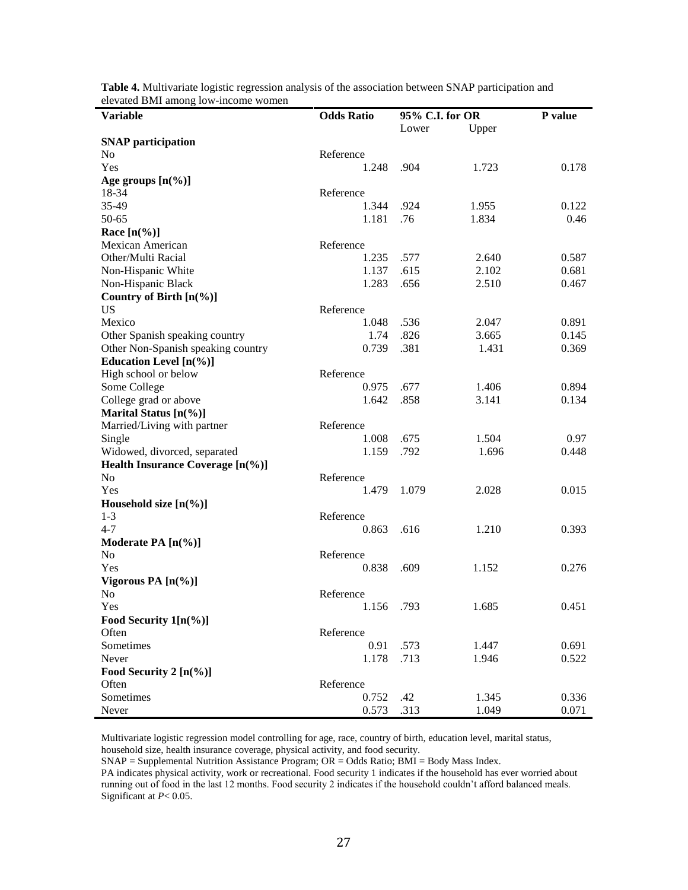| olo valou Divil allion<br><b>Variable</b> | <b>Odds Ratio</b> | 95% C.I. for OR |       | P value |  |
|-------------------------------------------|-------------------|-----------------|-------|---------|--|
|                                           |                   | Lower           | Upper |         |  |
| <b>SNAP</b> participation                 |                   |                 |       |         |  |
| N <sub>0</sub>                            | Reference         |                 |       |         |  |
| Yes                                       | 1.248             | .904            | 1.723 | 0.178   |  |
| Age groups $[n(\%)]$                      |                   |                 |       |         |  |
| 18-34                                     | Reference         |                 |       |         |  |
| 35-49                                     | 1.344             | .924            | 1.955 | 0.122   |  |
| 50-65                                     | 1.181             | .76             | 1.834 | 0.46    |  |
| Race $[n\frac{6}{6}]$                     |                   |                 |       |         |  |
| Mexican American                          | Reference         |                 |       |         |  |
| Other/Multi Racial                        | 1.235             | .577            | 2.640 | 0.587   |  |
| Non-Hispanic White                        | 1.137             | .615            | 2.102 | 0.681   |  |
| Non-Hispanic Black                        | 1.283             | .656            | 2.510 | 0.467   |  |
| Country of Birth [n(%)]                   |                   |                 |       |         |  |
| <b>US</b>                                 | Reference         |                 |       |         |  |
| Mexico                                    | 1.048             | .536            | 2.047 | 0.891   |  |
| Other Spanish speaking country            | 1.74              | .826            | 3.665 | 0.145   |  |
| Other Non-Spanish speaking country        | 0.739             | .381            | 1.431 | 0.369   |  |
|                                           |                   |                 |       |         |  |
| Education Level $[n(\%)]$                 |                   |                 |       |         |  |
| High school or below                      | Reference         |                 |       |         |  |
| Some College                              | 0.975             | .677            | 1.406 | 0.894   |  |
| College grad or above                     | 1.642             | .858            | 3.141 | 0.134   |  |
| Marital Status [n(%)]                     |                   |                 |       |         |  |
| Married/Living with partner               | Reference         |                 |       |         |  |
| Single                                    | 1.008             | .675            | 1.504 | 0.97    |  |
| Widowed, divorced, separated              | 1.159             | .792            | 1.696 | 0.448   |  |
| Health Insurance Coverage [n(%)]          |                   |                 |       |         |  |
| N <sub>0</sub>                            | Reference         |                 |       |         |  |
| Yes                                       | 1.479             | 1.079           | 2.028 | 0.015   |  |
| Household size $[n(\%)]$                  |                   |                 |       |         |  |
| $1 - 3$                                   | Reference         |                 |       |         |  |
| $4 - 7$                                   | 0.863             | .616            | 1.210 | 0.393   |  |
| Moderate PA [n(%)]                        |                   |                 |       |         |  |
| N <sub>0</sub>                            | Reference         |                 |       |         |  |
| Yes                                       | 0.838             | .609            | 1.152 | 0.276   |  |
| Vigorous PA $[n(\%)]$                     |                   |                 |       |         |  |
| No                                        | Reference         |                 |       |         |  |
| Yes                                       | 1.156 .793        |                 | 1.685 | 0.451   |  |
| Food Security $1[n(\%)]$                  |                   |                 |       |         |  |
| Often                                     | Reference         |                 |       |         |  |
| Sometimes                                 | 0.91              | .573            | 1.447 | 0.691   |  |
| Never                                     | 1.178             | .713            | 1.946 | 0.522   |  |
| Food Security 2 $[n(\%)]$                 |                   |                 |       |         |  |
| Often                                     | Reference         |                 |       |         |  |
| Sometimes                                 | 0.752             | .42             | 1.345 | 0.336   |  |
| Never                                     | 0.573             | .313            | 1.049 | 0.071   |  |

**Table 4.** Multivariate logistic regression analysis of the association between SNAP participation and elevated BMI among low-income women

Multivariate logistic regression model controlling for age, race, country of birth, education level, marital status, household size, health insurance coverage, physical activity, and food security.

SNAP = Supplemental Nutrition Assistance Program; OR = Odds Ratio; BMI = Body Mass Index.

PA indicates physical activity, work or recreational. Food security 1 indicates if the household has ever worried about running out of food in the last 12 months. Food security 2 indicates if the household couldn't afford balanced meals. Significant at *P*< 0.05.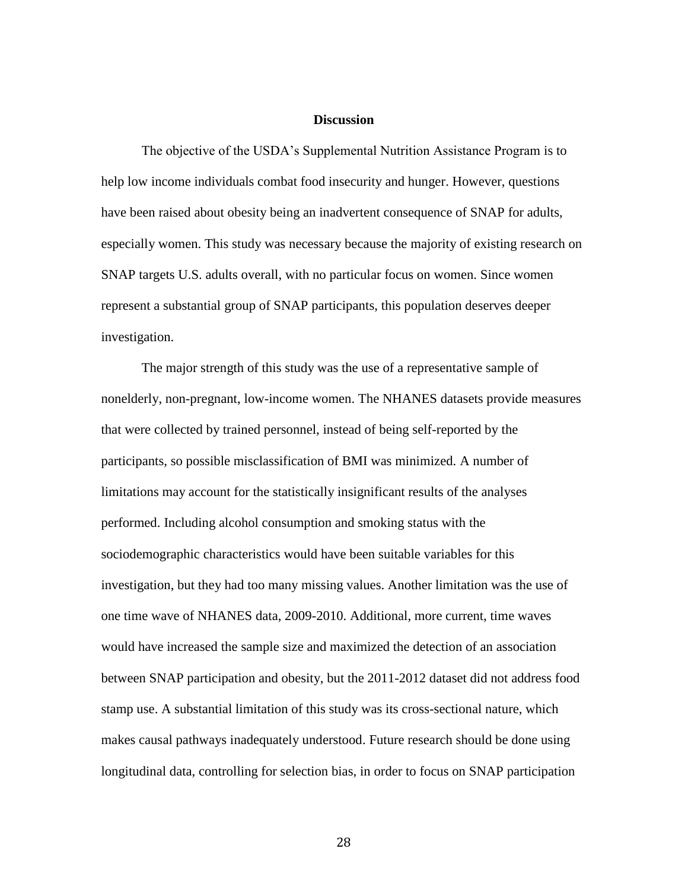#### **Discussion**

The objective of the USDA's Supplemental Nutrition Assistance Program is to help low income individuals combat food insecurity and hunger. However, questions have been raised about obesity being an inadvertent consequence of SNAP for adults, especially women. This study was necessary because the majority of existing research on SNAP targets U.S. adults overall, with no particular focus on women. Since women represent a substantial group of SNAP participants, this population deserves deeper investigation.

The major strength of this study was the use of a representative sample of nonelderly, non-pregnant, low-income women. The NHANES datasets provide measures that were collected by trained personnel, instead of being self-reported by the participants, so possible misclassification of BMI was minimized. A number of limitations may account for the statistically insignificant results of the analyses performed. Including alcohol consumption and smoking status with the sociodemographic characteristics would have been suitable variables for this investigation, but they had too many missing values. Another limitation was the use of one time wave of NHANES data, 2009-2010. Additional, more current, time waves would have increased the sample size and maximized the detection of an association between SNAP participation and obesity, but the 2011-2012 dataset did not address food stamp use. A substantial limitation of this study was its cross-sectional nature, which makes causal pathways inadequately understood. Future research should be done using longitudinal data, controlling for selection bias, in order to focus on SNAP participation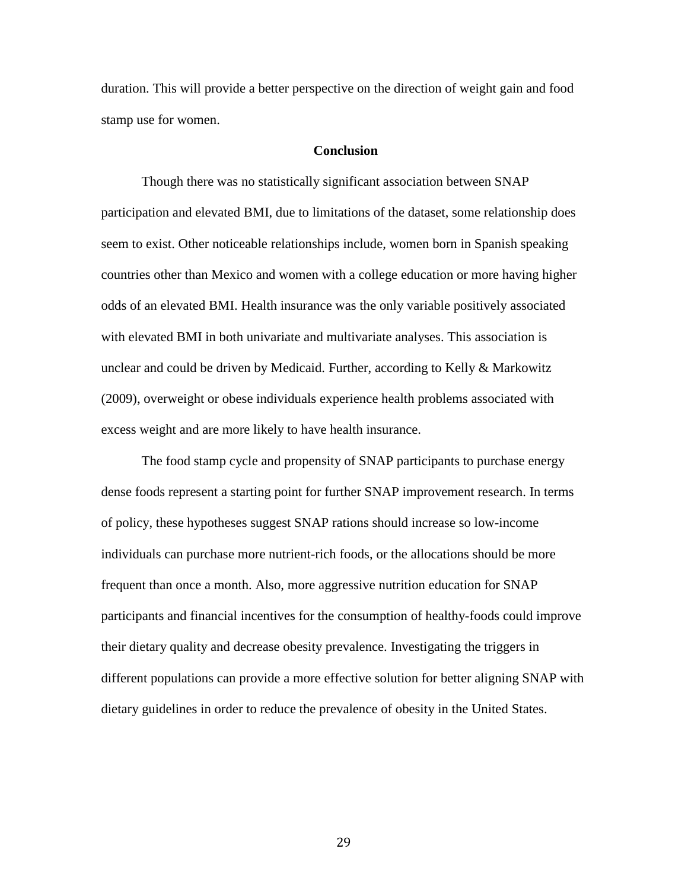duration. This will provide a better perspective on the direction of weight gain and food stamp use for women.

#### **Conclusion**

Though there was no statistically significant association between SNAP participation and elevated BMI, due to limitations of the dataset, some relationship does seem to exist. Other noticeable relationships include, women born in Spanish speaking countries other than Mexico and women with a college education or more having higher odds of an elevated BMI. Health insurance was the only variable positively associated with elevated BMI in both univariate and multivariate analyses. This association is unclear and could be driven by Medicaid. Further, according to Kelly & Markowitz (2009), overweight or obese individuals experience health problems associated with excess weight and are more likely to have health insurance.

The food stamp cycle and propensity of SNAP participants to purchase energy dense foods represent a starting point for further SNAP improvement research. In terms of policy, these hypotheses suggest SNAP rations should increase so low-income individuals can purchase more nutrient-rich foods, or the allocations should be more frequent than once a month. Also, more aggressive nutrition education for SNAP participants and financial incentives for the consumption of healthy-foods could improve their dietary quality and decrease obesity prevalence. Investigating the triggers in different populations can provide a more effective solution for better aligning SNAP with dietary guidelines in order to reduce the prevalence of obesity in the United States.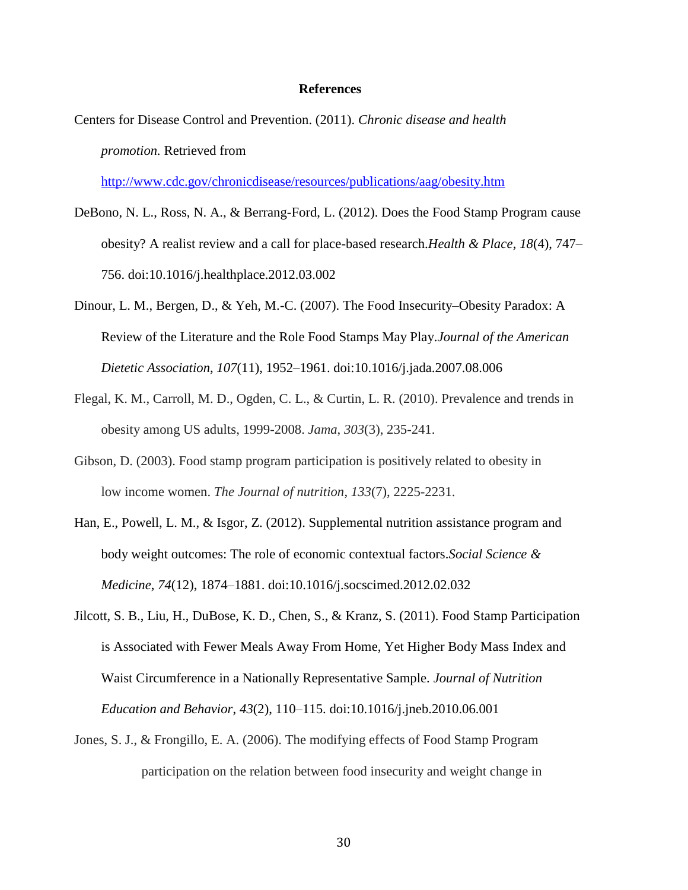#### **References**

Centers for Disease Control and Prevention. (2011). *Chronic disease and health promotion.* Retrieved from

<http://www.cdc.gov/chronicdisease/resources/publications/aag/obesity.htm>

- DeBono, N. L., Ross, N. A., & Berrang-Ford, L. (2012). Does the Food Stamp Program cause obesity? A realist review and a call for place-based research.*Health & Place*, *18*(4), 747– 756. doi:10.1016/j.healthplace.2012.03.002
- Dinour, L. M., Bergen, D., & Yeh, M.-C. (2007). The Food Insecurity–Obesity Paradox: A Review of the Literature and the Role Food Stamps May Play.*Journal of the American Dietetic Association*, *107*(11), 1952–1961. doi:10.1016/j.jada.2007.08.006
- Flegal, K. M., Carroll, M. D., Ogden, C. L., & Curtin, L. R. (2010). Prevalence and trends in obesity among US adults, 1999-2008. *Jama*, *303*(3), 235-241.
- Gibson, D. (2003). Food stamp program participation is positively related to obesity in low income women. *The Journal of nutrition*, *133*(7), 2225-2231.
- Han, E., Powell, L. M., & Isgor, Z. (2012). Supplemental nutrition assistance program and body weight outcomes: The role of economic contextual factors.*Social Science & Medicine*, *74*(12), 1874–1881. doi:10.1016/j.socscimed.2012.02.032
- Jilcott, S. B., Liu, H., DuBose, K. D., Chen, S., & Kranz, S. (2011). Food Stamp Participation is Associated with Fewer Meals Away From Home, Yet Higher Body Mass Index and Waist Circumference in a Nationally Representative Sample. *Journal of Nutrition Education and Behavior*, *43*(2), 110–115. doi:10.1016/j.jneb.2010.06.001
- Jones, S. J., & Frongillo, E. A. (2006). The modifying effects of Food Stamp Program participation on the relation between food insecurity and weight change in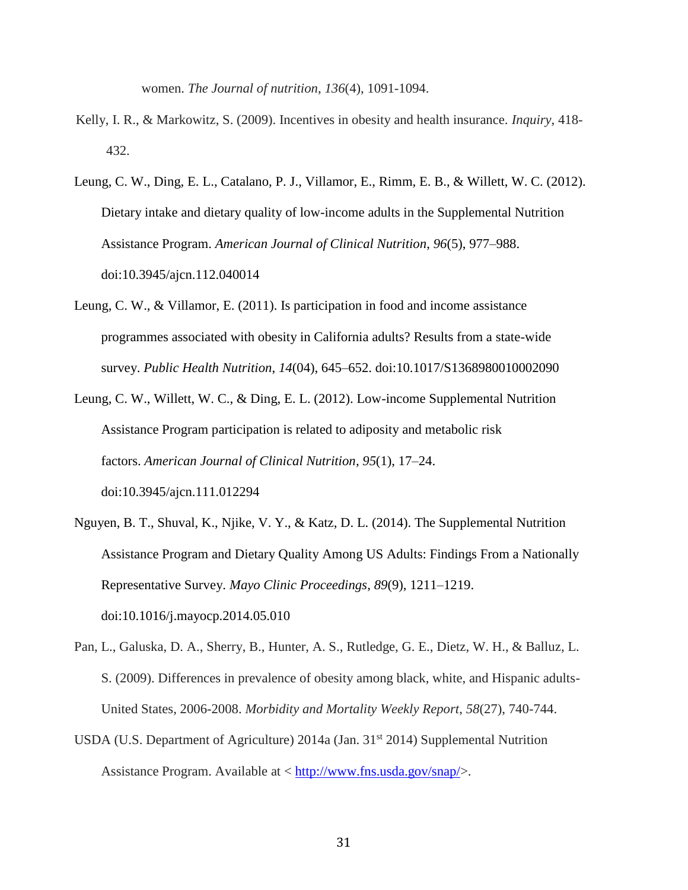women. *The Journal of nutrition*, *136*(4), 1091-1094.

- Kelly, I. R., & Markowitz, S. (2009). Incentives in obesity and health insurance. *Inquiry*, 418- 432.
- Leung, C. W., Ding, E. L., Catalano, P. J., Villamor, E., Rimm, E. B., & Willett, W. C. (2012). Dietary intake and dietary quality of low-income adults in the Supplemental Nutrition Assistance Program. *American Journal of Clinical Nutrition*, *96*(5), 977–988. doi:10.3945/ajcn.112.040014
- Leung, C. W., & Villamor, E. (2011). Is participation in food and income assistance programmes associated with obesity in California adults? Results from a state-wide survey. *Public Health Nutrition*, *14*(04), 645–652. doi:10.1017/S1368980010002090
- Leung, C. W., Willett, W. C., & Ding, E. L. (2012). Low-income Supplemental Nutrition Assistance Program participation is related to adiposity and metabolic risk factors. *American Journal of Clinical Nutrition*, *95*(1), 17–24. doi:10.3945/ajcn.111.012294
- Nguyen, B. T., Shuval, K., Njike, V. Y., & Katz, D. L. (2014). The Supplemental Nutrition Assistance Program and Dietary Quality Among US Adults: Findings From a Nationally Representative Survey. *Mayo Clinic Proceedings*, *89*(9), 1211–1219. doi:10.1016/j.mayocp.2014.05.010
- Pan, L., Galuska, D. A., Sherry, B., Hunter, A. S., Rutledge, G. E., Dietz, W. H., & Balluz, L. S. (2009). Differences in prevalence of obesity among black, white, and Hispanic adults-United States, 2006-2008. *Morbidity and Mortality Weekly Report*, *58*(27), 740-744.
- USDA (U.S. Department of Agriculture)  $2014a$  (Jan.  $31<sup>st</sup> 2014$ ) Supplemental Nutrition Assistance Program. Available at < [http://www.fns.usda.gov/snap/>](http://www.fns.usda.gov/snap/).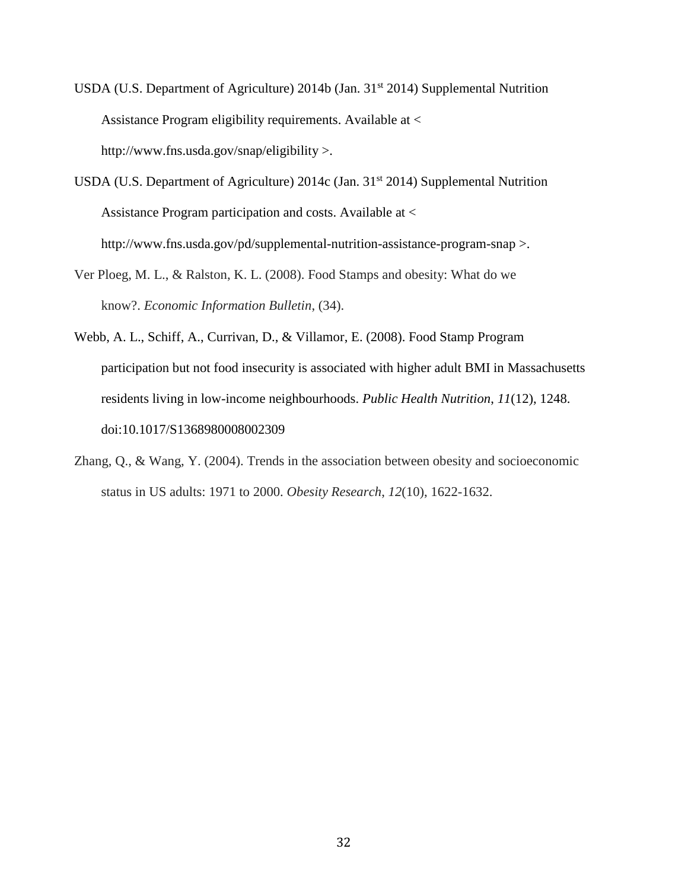- USDA (U.S. Department of Agriculture) 2014b (Jan.  $31<sup>st</sup>$  2014) Supplemental Nutrition Assistance Program eligibility requirements. Available at < http://www.fns.usda.gov/snap/eligibility >.
- USDA (U.S. Department of Agriculture)  $2014c$  (Jan.  $31<sup>st</sup> 2014$ ) Supplemental Nutrition Assistance Program participation and costs. Available at < http://www.fns.usda.gov/pd/supplemental-nutrition-assistance-program-snap >.
- Ver Ploeg, M. L., & Ralston, K. L. (2008). Food Stamps and obesity: What do we know?. *Economic Information Bulletin*, (34).
- Webb, A. L., Schiff, A., Currivan, D., & Villamor, E. (2008). Food Stamp Program participation but not food insecurity is associated with higher adult BMI in Massachusetts residents living in low-income neighbourhoods. *Public Health Nutrition*, *11*(12), 1248. doi:10.1017/S1368980008002309
- Zhang, Q., & Wang, Y. (2004). Trends in the association between obesity and socioeconomic status in US adults: 1971 to 2000. *Obesity Research*, *12*(10), 1622-1632.